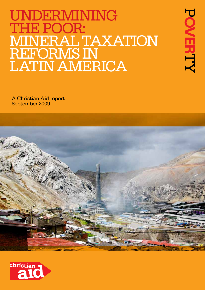# UNDERMINING THE POOR: mineral taxation REFORMS IN LATIN AMERICA

POVERTY

A Christian Aid report September 2009



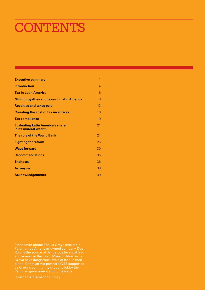# CONTENTS

| <b>Executive summary</b>                                         | 1  |
|------------------------------------------------------------------|----|
| <b>Introduction</b>                                              | 4  |
| <b>Tax in Latin America</b>                                      | 6  |
| <b>Mining royalties and taxes in Latin America</b>               | 8  |
| <b>Royalties and taxes paid</b>                                  | 12 |
| <b>Counting the cost of tax incentives</b>                       | 16 |
| <b>Tax compliance</b>                                            | 19 |
| <b>Evaluating Latin America's share</b><br>in its mineral wealth | 21 |
| The role of the World Bank                                       | 24 |
| <b>Fighting for reform</b>                                       | 26 |
| <b>Ways forward</b>                                              | 30 |
| <b>Recommendations</b>                                           | 35 |
| <b>Endnotes</b>                                                  | 36 |
| <b>Acronyms</b>                                                  | 38 |
| <b>Acknowledgements</b>                                          | 39 |

Front cover photo: The La Oroya smelter in Peru, run by American-owned company Doe Run, is the source of dangerous levels of lead and arsenic in the town. Many children in La Oroya have dangerous levels of lead in their blood. Christian Aid partner UNES supported La Oroya's community group to lobby the Peruvian government about the issue.

Christian Aid/Amanda Burney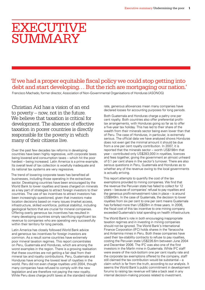## **EXECUTIVE SUMMARY**

### 'If we had a proper equitable fiscal policy we could stop getting into debt and start developing… But the rich are mortgaging our nation.'

Francisco Machado, former director, Association of Non-Governmental Organisations of Honduras (ASONOG)

Christian Aid has a vision of an end to poverty – now, not in the future. We believe that taxation is critical for development. The absence of effective taxation in poorer countries is directly responsible for the poverty in which many of their citizens live.

Over the past few decades tax reforms in developing countries have been highly regressive, with corporate taxes being lowered and consumption taxes – which hit the poor hardest – being increased. Latin America is a prime example. Its overall level of tax collection is woefully inadequate and its national tax systems are very regressive.

The trend of lowering corporate taxes has benefited all businesses, including those operating in the extractives sector. Developing countries have been encouraged by the World Bank to lower royalties and taxes charged on minerals as a key part of strategies to attract foreign investors to their countries. The use of tax incentives to attract investors has been increasingly questioned, given that investors make location decisions based on many issues (market access, infrastructure, skilled workforce, political stability), including geological factors that are crucial for mineral companies. Offering overly generous tax incentives has resulted in many developing countries simply sacrificing significant tax revenue to companies who are operating very successfully within their territory for long periods.

Latin America has closely followed World Bank advice and generous tax incentives for foreign investors are common. As a result some countries have extremely poor mineral taxation regimes. This report concentrates on Peru, Guatemala and Honduras, which are among the worst examples in the region. There is a growing realisation that these countries are not getting a fair deal from their mineral tax and royalty contributions. Peru, Guatemala and Honduras have among the lowest level of royalties in the world. Peru did not even charge royalties until 2004, though many companies have refused to comply with the new legislation and are therefore not paying the new royalty. While Peru does charge profit taxes at the standard national rate, generous allowances mean many companies have declared losses for accounting purposes for long periods.

Both Guatemala and Honduras charge a paltry one per cent royalty. Both countries also offer preferential profittax arrangements, with Honduras going so far as to offer a five-year tax holiday. This has led to their share of the wealth from their minerals sector being even lower than that of Peru. The case of Honduras, in particular, is extremely serious. The official data we have analysed shows Honduras does not even get the minimal amount it should be due from a one per cent royalty contribution. In 2007, it is reported that the minerals sector – worth US\$198m that year – contributed only US\$283,000 in royalties, licences and fees together, giving the government an almost unheard of 0.1 per cent share in the sector's turnover. There are also serious questions in Peru, Guatemala and Honduras as to whether any of the revenue owing to the local governments is actually arriving.

This report attempts to quantify the cost of the tax exemptions provided to mining companies. We find that the revenue the Peruvian state has failed to collect for 12 years – because of companies' refusal to pay royalties and the generous profit-reinvestment rules in place – is around US\$849m. In the case of Guatemala, the decision to lower royalties from six per cent to one per cent means Guatemala has forfeited more than US\$28m in three years. In 2006, the fiscal cost of this tax incentive to one mining company exceeded Guatemala's total spending on health infrastructure.

The World Bank's role in both encouraging inappropriate taxation regimes and in investing in mining companies should not be ignored. The World Bank's International Finance Corporation (IFC) holds shares in the Yanacocha and Antamina mines in Peru. Both these companies have used their tax-stability contracts to refuse to pay royalties, costing the Peruvian state US\$226.6m between June 2004 and December 2006. The IFC was also one of the first investors in the Marlin mine in Guatemala. While IFC staff were aware of the rock-bottom one per cent royalty rate and the corporate tax exemptions offered to the company, staff still claimed the tax contribution would be substantial – a claim which is far from the truth, according to our analysis. It seems the World Bank's public commitment in development forums to raising tax revenue will take a back seat in any internal decision-making process related to investment.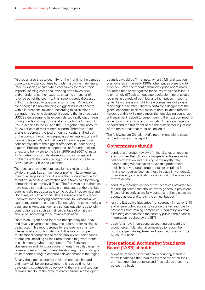This report also tries to quantify for the first time the damage done to individual countries by trade mispricing in minerals. Trade mispricing occurs when companies overprice their imports (inflating costs and lowering profit taxes due) and/or under-price their exports, ensuring a transfer of revenue out of the country. This issue is barely discussed in forums devoted to taxation reform in Latin America – even though it's now the single biggest issue of concern within international taxation. According to calculations in our trade-mispricing database, it appears that in three years US\$388.6m seems to have been shifted illicitly out of Peru through under-pricing of mineral exports to the US and EU. Peru's exports to the US and the EU together only account for 26 per cent of total mineral exports. Therefore, if our analysis is correct, the total amount of capital shifted out of the country through under-pricing of mineral exports will be much larger. We find that overall the mining sector is consistently one of the biggest offenders in under-pricing exports. Precious metals topped the list for under-pricing of exports from Peru to the US in 2005 and 2007. Christian Aid's trade-mispricing database also shows consistent problems with the under-pricing of mineral exports from Brazil, Mexico, Chile and Colombia.

The transparency of mineral taxation is a major problem. While this topic has a much lower profile in Latin America than for example in Africa, it is one that is long overdue for attention. Accessing information about taxes paid by mining companies is extremely difficult. The Peruvian tax authorities have made some data available on request, but there is little automatically made available to the public. In Guatemala and Honduras, very little official data is available and this report uncovers some worrying contradictions. In Guatemala we cannot reconcile the company figures with the tax authority's data, and in Honduras we have serious questions as to why contributions are such a small percentage of what they should be, according to the royalty legislation.

There is an urgent need for more transparency about tax and royalty payments and how the income from mining is being used. This report argues for the creation of a new international accounting standard. This would compel multinational companies to report publicly on their financial operations, including all their remittances to governments in each country where they operate. The Peruvian, Guatemalan and Honduran governments must also urgently revise and reform their mineral taxation regimes if mining is to start contributing to economic development in the region.

Clearly the global economic environment has changed and many will be asking whether this a good time for developing countries to be reviewing their mineral taxation regimes. No doubt the reply of many citizens in developing countries would be 'if not now, when?'. Mineral taxation was lowered in the early 1990s when prices were low for a decade. With the recent commodity-price boom many countries tried to renegotiate these low rates and failed. It is extremely difficult to negotiate equitable mineral taxation regimes in periods of both low and high prices. It seems quite likely there is no right time – companies will always resist higher tax rates. There is certainly a danger that the global economic crisis will make mineral taxation reforms harder, but this will simply mean that developing countries will again be ill-placed to benefit during the next commodityprice boom. Tax-policy reform in Latin America is urgently needed and the treatment of the minerals sector is just one of the many areas that must be looked at.

The following are Christian Aid's recommendations based on the findings in this report.

#### **Governments should:**

- conduct a thorough review of mineral taxation regimes and consider the following changes to achieve a more balanced taxation level: raising of the royalty rate; incorporating windfall taxes or variable profit taxes; abolishing any special corporate tax exemptions for mining companies (such as those in place in Honduras). Ensure equity considerations are central to the taxationreform debate
- conduct a thorough review of tax incentives provided to the mining sector and abolish overly generous provisions. Ensure all incentives are fully costed and these costs are counted as expenditure in the annual budget
- join the Extractive Industries Transparency Initiative (EITI) and ensure public access to data on the tax and royalty payments from mining companies. Require by law that all mining companies in the country publish the financial information required by the EITI
- push for a new international accounting standard that would force multinational companies to report their profits, expenditures, taxes and fees paid on a countryby-country basis.

#### **International Accounting Standards Board (IASB) should:**

adopt an improved international accounting standard for multinationals that requires them to report on their profits, expenditures, taxes and fees paid on a countryby-country basis.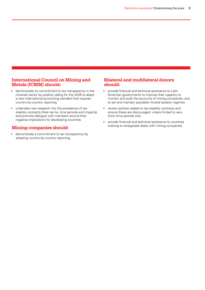#### **International Council on Mining and Metals (ICMM) should:**

- demonstrate its commitment to tax transparency in the minerals sector by publicly calling for the IASB to adopt a new international accounting standard that requires country-by-country reporting
- undertake new research into the prevalence of taxstability contracts (their terms, time periods and impacts), and promote dialogue with members around their negative implications for developing countries.

#### **Mining companies should:**

• demonstrate a commitment to tax transparency by adopting country-by-country reporting.

#### **Bilateral and multilateral donors should:**

- provide financial and technical assistance to Latin American governments to improve their capacity to monitor and audit the accounts of mining companies, and to set and maintain equitable mineral taxation regimes
- review policies related to tax-stability contracts and ensure these are discouraged, unless limited to very short time periods only
- provide financial and technical assistance to countries wishing to renegotiate deals with mining companies.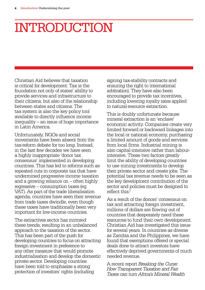# **INTRODUCTION**

Christian Aid believes that taxation is critical for development. Tax is the foundation not only of states' ability to provide services and infrastructure to their citizens, but also of the relationship between states and citizens. The tax system is also the key policy tool available to directly influence income inequality – an issue of huge importance in Latin America.

Unfortunately, NGOs and social movements have been absent from the tax-reform debate for too long. Instead, in the last few decades we have seen a highly inappropriate 'donor tax consensus' implemented in developing countries. This has led to reforms such as repeated cuts in corporate tax that have undermined progressive income taxation and a growing reliance on – often highly regressive – consumption taxes (eg VAT). As part of the trade liberalisation agenda, countries have seen their revenue from trade taxes dwindle, even though these taxes have traditionally been very important for low-income countries.

The extractives sector has mirrored these trends, resulting in an unbalanced approach to the taxation of the sector. This has been part of the push for developing countries to focus on attracting foreign investment in preference to any other measure that would promote industrialisation and develop the domestic private sector. Developing countries have been told to emphasise a strong protection of investors' rights (including

signing tax-stability contracts and ensuring the right to international arbitration). They have also been encouraged to provide tax incentives, including lowering royalty rates applied to natural-resource extraction.

This is doubly unfortunate because mineral extraction is an 'enclave' economic activity. Companies create very limited forward or backward linkages into the local or national economy, purchasing a limited amount of goods and services from local firms. Industrial mining is also capital-intensive rather than labourintensive. These two factors greatly limit the ability of developing countries to use mining investments to develop their private sector and create jobs. The potential tax revenue needs to be seen as the key development contribution of the sector and policies must be designed to reflect this.<sup>1</sup>

As a result of the donors' consensus on tax and attracting foreign investment, millions of dollars are flowing out of countries that desperately need these resources to fund their own development. Christian Aid has investigated this issue for several years. In countries as diverse as Zambia and the Philippines, we have found that exemptions offered or special deals done to attract investors have effectively deprived governments of much needed revenue.

A recent report *Breaking the Curse: How Transparent Taxation and Fair Taxes can turn Africa's Mineral Wealth*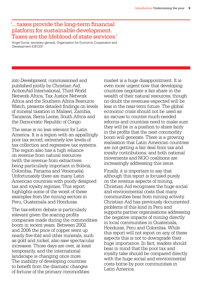### '... taxes provide the long-term financial platform for sustainable development. Taxes are the lifeblood of state services.'

Angel Gurria, secretary-general, Organisation for Economic Cooperation and Development (OECD)2

*into Development*, commissioned and published jointly by Christian Aid, ActionAid International, Third World Network Africa, Tax Justice Network Africa and the Southern Africa Resource Watch, presents detailed findings on levels of mineral taxation in Malawi, Zambia, Tanzania, Sierra Leone, South Africa and the Democratic Republic of Congo.

The issue is no less relevant for Latin America. It is a region with an appallingly poor tax record, extremely low levels of tax collection and regressive tax systems. The region also has a high reliance on revenue from natural resources (with the revenue from extractives being particularly important in Bolivia, Colombia, Panama and Venezuela). Unfortunately there are many Latin American countries with poorly designed tax and royalty regimes. This report highlights some of the worst of these examples from the mining sectors in Peru, Guatemala and Honduras.

The tax-reform debate is particularly relevant given the soaring profits companies made during the commodities boom in recent years. Between 2002 and 2006 the price of copper went up nearly five-fold and other minerals, such as gold and nickel, also saw spectacular increases. Those days are over, at least temporarily, and the international landscape is changing once more. The inability of developing countries to benefit from the dramatic changes of fortune of the primary commodities

market is a huge disappointment. It is even more urgent now that developing countries negotiate a fair share in the wealth of their natural resources, though no doubt the revenues expected will be less in the near-term future. The global economic crisis should not be used as an excuse to counter much-needed reforms and countries need to make sure they will be in a position to share fairly in the profits that the next commodity boom will generate. There is a growing realisation that Latin American countries are not getting a fair deal from tax and royalty contributions, and both national movements and NGO coalitions are increasingly addressing this issue.

Finally, it is important to say that although this report is focused purely on the revenue aspects of mining, Christian Aid recognises the huge social and environmental costs that many communities bear from mining activity. Christian Aid has previously documented problems of this kind in Peru and supports partner organisations addressing the negative impacts of mining directly in local communities in Guatemala, Honduras, Peru and Colombia. While this report will not report on any of these aspects this is not to downgrade their huge importance. In fact, readers should bear in mind that the poor tax and royalty take should be compared directly with the huge social and environmental costs borne by poor communities in Latin America.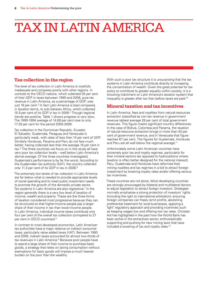# Tax in Latin America

#### **Tax collection in the region**

The level of tax collection in Latin America is woefully inadequate and compares poorly with other regions. In contrast to the OECD nations, which collected 35 per cent of their GDP in taxes between 1990 and 2006, pure tax revenue in Latin America, as a percentage of GDP, was just 16 per cent.<sup>3</sup> In fact Latin America is best compared, in taxation terms, to sub-Saharan Africa, which collected 15.9 per cent of its GDP in tax in 2006.4 Though regional trends are positive, Table 1 shows progress is very slow. The 1990-1994 average of 14.69 per cent rose to only 17.39 per cent for the period 2000-2006.

Tax collection in the Dominican Republic, Ecuador, El Salvador, Guatemala, Paraguay and Venezuela is particularly weak, with rates of less than 14 per cent of GDP. Similarly Honduras, Panama and Peru do not fare much better, having collected less than the average 16 per cent in tax.5 The three countries we focus on in this study all have very poor tax collection levels – well below Latin America's dismal average. Of the three countries investigated, Guatemala's performance is by far the worst. According to the Guatemalan tax authority (SAT), the country collected only 11.3 per cent of its GDP in tax in 2008.<sup>6</sup>

The extremely low levels of tax collection in Latin America are far below what is needed to provide appropriate levels of social spending and to meet public investment needs to promote the growth of the domestic private sector. Tax systems in Latin America are also regressive.7 In the region generally there is a very low level of taxation of income, wealth and property. These are the three forms of taxation considered most progressive because they can be structured so that higher-income people pay a larger share of their income in tax than lower-income people. In Latin America, individual income taxes contribute only four per cent of the overall tax collection (compared to 27 per cent in OECD countries).8

In contrast to most developed economies, Latin American tax authorities have a major reliance on indirect consumer taxes, particularly value added taxes (VAT). Between 1990 and 2006, indirect taxes accounted for almost two-thirds of tax revenues in Latin America.<sup>9</sup> Because poor people have to spend a large share of their income to purchase basic goods, a strategy that relies on taxing consumption without exemptions for basic goods will impose a much heavier burden on the poor than the wealthy.

With such a poor tax structure it is unsurprising that the tax systems in Latin America contribute directly to increasing the concentration of wealth. Given the great potential for tax policy to contribute to greater equality within society, it is a shocking indictment on Latin America's taxation system that inequality is greater after tax than before taxes are paid.10

#### **Mineral taxation and tax incentives**

In Latin America, fees and royalties from natural-resources extraction (classified as non-tax revenue in government revenue tables) average 28 per cent of total government revenues. This figure masks significant country differences. In the case of Bolivia, Colombia and Panama, the taxation of natural-resource extraction brings in more than 40 per cent of government revenue, and in Venezuela that figure reaches 67 per cent. The figures for Guatemala, Honduras and Peru are all well below the regional average.<sup>11</sup>

Unfortunately some Latin American countries have extremely poor tax and royalty regimes, particularly for their mineral sectors (as opposed to hydrocarbons where taxation is often better designed for the national interest). Peru, Guatemala and Honduras have reformed their mining royalties and tax regimes in a bid to attract foreign investment by lowering royalty rates and/or offering various tax incentives.

These countries are not alone. Most developing countries are strongly encouraged by bilateral and multilateral donors to adjust legislation to attract foreign investors. Strategies normally emphasise a strong protection of investors' rights (including the right to international arbitration), ensuring foreign companies can freely remit profits, abolishing preferential treatment for local businesses, applying a 'light' regulatory approach and providing incentives such as keeping wages low and offering low tax rates. Christian Aid has highlighted in the past how the World Bank has been active in the extractives sector, enthusiastically supporting and pushing for new mining laws that have included a lowering of tax and royalty rates.<sup>12</sup>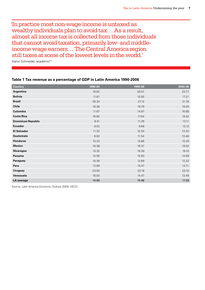'In practice most non-wage income is untaxed as wealthy individuals plan to avoid tax… As a result, almost all income tax is collected from those individuals that cannot avoid taxation, primarily low- and middleincome wage earners… The Central America region still taxes at some of the lowest levels in the world.'

Aaron Schneider, academic<sup>13</sup>

#### **Table 1 Tax revenue as a percentage of GDP in Latin America 1990-2006**

| <b>Country</b>            | 1990-94 | 1995-99 | 2000-06 |
|---------------------------|---------|---------|---------|
| Argentina                 | 19.82   | 20.57   | 23.77   |
| <b>Bolivia</b>            | 11.61   | 15.55   | 17.21   |
| <b>Brazil</b>             | 26.24   | 27.12   | 31.78   |
| <b>Chile</b>              | 18.36   | 18.79   | 19.29   |
| Colombia                  | 11.67   | 14.97   | 16.88   |
| <b>Costa Rica</b>         | 16.82   | 17.64   | 19.42   |
| <b>Dominican Republic</b> | 9.41    | 11.29   | 13.11   |
| <b>Ecuador</b>            | 9.52    | 9.68    | 13.12   |
| <b>El Salvador</b>        | 11.32   | 12.34   | 13.33   |
| Guatemala                 | 8.92    | 11.54   | 13.46   |
| <b>Honduras</b>           | 13.33   | 13.66   | 15.29   |
| <b>Mexico</b>             | 16.38   | 16.37   | 19.02   |
| Nicaragua                 | 13.32   | 16.39   | 19.10   |
| Panama                    | 14.56   | 15.83   | 14.69   |
| Paraguay                  | 10.36   | 12.69   | 12.23   |
| Peru                      | 13.69   | 15.47   | 14.71   |
| <b>Uruguay</b>            | 23.05   | 23.18   | 23.10   |
| Venezuela                 | 16.03   | 14.47   | 13.48   |
| <b>LA average</b>         | 14.69   | 15.98   | 17.39   |

Source: *Latin America Economic Outlook 2009*, OECD.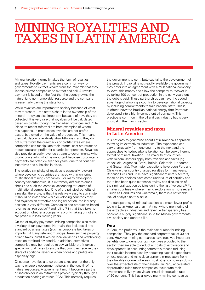## **MINING ROYALTIES AND** taxes in Latin America

Mineral taxation normally takes the form of royalties and taxes. Royalty payments are a common way for governments to extract wealth from the minerals that they license private companies to extract and sell. A royalty payment is based on the fact that the country owns the natural (and non-renewable) resource and the company is essentially paying the state for it.

While royalties are important to society because of what they represent – the state's share in the ownership of the mineral – they are also important because of how they are collected. It is very rare that royalties will be calculated based on profits, though the Canadian provinces and Chile (since its recent reforms) are both examples of where this happens. In most cases royalties are not profitsbased, but levied on the value of production. This means their calculation is relatively straightforward and they do not suffer from the drawbacks of profits taxes where companies can manipulate their internal cost structures to reduce declared profits for a particular operation. Royalties also provide an early revenue stream to governments when production starts, which is important because corporate tax payments are often delayed for years, due to various tax incentives and subsidies in place.

The relative simplicity of royalties is especially relevant where developing countries are faced with monitoring multinational mining companies. For many developingcountry tax authorities, it is extremely difficult to cross check and audit the complex accounting structures of multinational companies. One of the principal benefits of a royalty, therefore, is that it is relatively easy to administer. It should be noted that while developing countries may find royalties an attractive and logical option, the industry position is very different. Companies see production-based royalties as 'regressive'14 and 'blind'15 in that they take no account of whether a company is profit-making or not and are payable in loss-making years.

On top of royalty payments, mining companies also make a variety of tax payments. Normally this includes all the standard business taxes (such as corporate tax, taxes on imports, VAT, any relevant municipal taxes such as property or land taxes, profit taxes on local dividends and withholding taxes on remitted dividends). In addition, extractives companies may be required to pay variable-profit taxes or special windfall taxes to ensure that countries receive their share of additional revenue when prices and profits are especially high.

Of course, royalties and corporate taxes are not the only way to ensure a government shares in the wealth of its natural resources. A government might become a partner or shareholder in an extractives project, typically through a production-sharing contract (PCS). This normally requires

the government to contribute capital to the development of the project. If capital is not readily available the government may enter into an agreement with a multinational company to 'owe' this money and allow the company to recover it by taking 100 per cent of production in the early years until the debt is paid. These partnerships can have the added advantage of allowing a country to develop national capacity by including commitments to train national staff. This is, in effect, how the Brazilian national energy firm Petrobras developed into a highly competent oil company. This practice is common in the oil and gas industry but is very unusual in the mining sector.

#### **Mineral royalties and taxes in Latin America**

It is not easy to generalise about Latin America's approach to taxing its extractives industries. The experience can vary dramatically from one country to the next and the approaches to hydrocarbons taxation can be very different to that of mineral taxation. The majority of countries with mineral sectors apply both royalties and taxes (eg Venezuela, Argentina, Brazil, Bolivia, Colombia, Honduras and Guatemala). Two major exceptions have been Peru and Chile – neither country charged royalties for many years. Because Peru and Chile have significant minerals sectors, these policy choices have come under a lot of scrutiny and there has been quite extensive review and discussion of their mineral-taxation policies during the last five years.16 For smaller countries – where mining exploration is more recent – such as Honduras and Guatemala, there is a noticeable lack of analysis on this issue.

The transparency of mineral taxation is a much lower-profile topic in Latin America than in Africa, where monitoring of the extractives industries and revenue transparency has become a hugely significant issue for African governments, civil society and donors alike.

#### **Peru**

In Peru, the profit tax is the main tax burden for mining companies. They pay the standard corporate tax of 30 per cent. However mining companies have received important benefits due to generous tax incentives provided to the sector: they are able to deduct all costs of exploration and development. In accounting terms this means reducing their taxable income base by deducting capital expenditure on exploration and mine development immediately from their taxable income (whereas most other companies do so over the expected life of their assets). In Peru, accelerated depreciation rules mean companies recuperate their investment in five years via an annual depreciation rate of 20 per cent. This has allowed many mining companies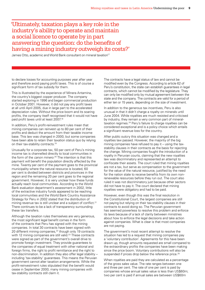'Ultimately, taxation plays a key role in the industry's ability to operate and maintain a social licence to operate by in part answering the question: do the benefits of having a mining industry outweigh its costs?'

James Otto, academic and World Bank consultant on mineral taxation<sup>17</sup>

to declare losses for accounting purposes year after year and therefore avoid paying profit taxes. This is of course a significant form of tax subsidy for them.

This is illustrated by the experience of Minera Antamina, the country's biggest copper producer. The company started exploring in 1996 and began commercial production in October 2001. However, it did not pay any profit taxes at all until April 2005, due in large part to the accelerated depreciation rules. Without the price boom and its soaring profits, the company itself recognised that it would not have paid profit taxes until at least 2007.18

In addition, Peru's profit-reinvestment rules mean that mining companies can reinvest up to 80 per cent of their profits and deduct the amount from their taxable income base. This law was changed in 2000, but some companies have been able to retain their taxation status quo by relying on their tax-stability contracts.19

Unusually for a corporate tax, 50 per cent of Peru's mining income tax is channelled directly to local communities in the form of the *canon minero*. 20 The intention is that this payment will benefit the population directly affected by the mine. Twenty per cent of the payment goes to the provincial municipality where the natural resource is located, 60 per cent is divided between districts and provinces in the region and the remaining 20 per cent goes to the regional government. However, it is very unclear how these funds actually reach local communities. According to the World Bank evaluation department's assessment in 2002, little of the extractive industry funds appeared to be reaching local communities and the World Bank Country Assistance Strategy for Peru in 2002 stated that the distribution of mining revenue tax is still unclear and a subject of conflict.<sup>21</sup> There continues to be a lack of transparency surrounding these tax transfers.

Although the taxation rules themselves are very generous, the most significant legal benefit comes in the form of the contracts that Peru has signed with the mining companies. In total 30 contracts have been signed with 20 different mining companies,<sup>22</sup> though only 19 contracts with 12 mining companies are still valid.<sup>23</sup> These contracts were signed as part of the government's overall drive to promote foreign investment. They provide guarantees to the companies of equal treatment with other national and foreign firms, the right to profit remittance and the right to non-discrimination. In addition they also offer legal stability – including 'tax-stability' guarantees. This means the Peruvian government cannot alter taxation arrangements. While the profit-reinvestment rules stipulated that the benefit would cease in September 2000, many mining companies with tax-stability contracts still claim it.

The contracts have a legal status of law and cannot be modified even by the Congress. According to article 62 of Peru's constitution, the state can establish guarantees in legal contracts, which cannot be modified by the legislature. They can only be modified only by mutual agreement between the state and the company. The contracts are valid for a period of either ten or 15 years, depending on the size of investment.

In addition to the generous tax incentives, Peru is also unusual in that it didn't charge a royalty on minerals until June 2004. While royalties are much resisted and criticised by industry, they remain a very common part of mineraltaxation regimes.24 Peru's failure to charge royalties can be considered exceptional and is a policy choice which entails a significant revenue loss for the country.

After public outcry this situation was changed and a royalties law passed. However, the majority of the big mining companies have refused to pay it – using the taxstability clauses in their contracts as the basis for rejecting the change. Mining companies fought the introduction of a royalty in Peruvian courts, claiming that the new royalties law was discriminatory and represented an attempt to confiscate their assets. The court ruled that mining royalties are not a tax, but serve as compensation to the government for the value of the natural resource, justified by the need for the nation state to receive benefits from its own nonrenewable resources before they run out. The court also ruled it was not discriminatory just because other sectors did not have to pay it. The court declared that mining royalties were obligatory and had to be paid.

However, even though this was the final resolution in the Constitutional Court, the largest companies are still not paying but relying on their tax-stability clauses in their contracts to avoid doing so. The Peruvian government has seemed powerless to resolve this problem and enforce its laws because of a lack of clarity between ministries about how to enforce the legal decisions and take action against companies. What is clear is that most companies are not paying.

The government's most recent attempt to resolve the situation has led to a request that mining companies pay a 'voluntary contribution'. Agreements for this have been drawn up, though amounts requested are small compared to the extraordinary profits the companies have been making since the price boom. Voluntary contributions will also be suspended if prices drop below the reference price.<sup>25</sup>

When royalties are paid they are calculated as a percentage of the gross sales value. The rate ranges between one and three per cent. The rate of one per cent is paid by companies whose annual sales value is less than US\$60m; two per cent is paid if annual sales are between US\$60m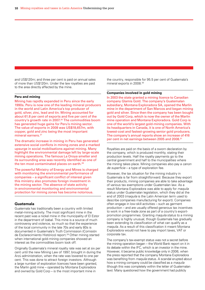and US\$120m; and three per cent is paid on annual sales of more than US\$120m. Under the law royalties are paid to the area directly affected by the mine.

#### **Peru and mining**

Mining has rapidly expanded in Peru since the early 1990s. Peru is now one of the leading mineral producers in the world and Latin America's top producer of gold, silver, zinc, lead and tin. Mining accounted for about 61.8 per cent of exports and five per cent of the country's growth rate in 2007.26 The commodities boom has generated huge gains for Peru's mining sector. The value of exports in 2008 was US\$18,657m, with copper, gold and zinc being the most important mineral earners.<sup>27</sup>

The dramatic increase in mining in Peru has generated extensive social conflicts in mining zones and a marked upsurge in social mobilisations against mining. Many highlight the environmental damage left by large-scale mining operations. The famous La Oroya smelter and its surrounding area was recently identified as one of the ten most contaminated places on earth.28

The powerful Ministry of Energy and Mines is charged with monitoring the environmental performance of companies – a significant conflict of interest given this ministry also promotes foreign investment in the mining sector. The absence of state activity in environmental monitoring and environmental protection for mining zones has become notorious.

#### **Guatemala**

Guatemala has traditionally been a country with limited metal-mining activity. The most significant mine in the recent past was a nickel mine in the municipality of El Estor in the department of Izabal. This mine is a source of much controversy and violence, so much so that the experience of the local community in the late 70s and early 80s is documented in Guatemala's Truth Commission (Comisión de Esclarecimiento Histórico) report.29 Other mining started when international gold-mining companies showed an interest as the commodities boom took off.

Originally Guatemala's mineral royalty rate was set at six per cent until the new Mining Law of 1997, brought in during the Arzú administration, when the rate was lowered to one per cent. This was done to attract foreign investors. Although a large number of exploration licences have been granted, the Marlin gold mine – operated by Montana Exploradora and owned by Gold Corp – is the most important mine in

the country, responsible for 95.5 per cent of Guatemala's mineral exports in 2008.30

#### **Companies involved in gold mining**

In 2003 the state granted a mining licence to Canadian company Glamis Gold. The company's Guatemalan subsidiary, Montana Exploradora SA, opened the Marlin mine in the department of San Marcos and began mining gold and silver. Since then the company has been bought out by Gold Corp, which is now the owner of the Marlin mine operation and Montana Exploradora. Gold Corp is one of the world's largest gold-mining companies. With its headquarters in Canada, it is one of North America's lowest-cost and fastest-growing senior gold producers. The company's annual reports show an increase of 416 per cent in net earnings between 2005 and 2008.31

Royalties are paid on the basis of a sworn declaration by the company, which is produced monthly, stating their production levels. Half the royalty payments go to the central government and half to the municipalities where the mining takes place. Mining companies also pay a *canon de superficie* – a type of exploration fee.

However, the tax situation for the mining industry in Guatemala is far from straightforward. Because they export their products, mining companies are able to take advantage of various tax exemptions under Guatemalan law. As a result Montana Exploradora was able to apply for *maquila* status under Guatemalan legislation, which they did at the end of 2003 (*maquila* is the Latin American term used to describe companies manufacturing for export). Companies often engage in low-skill activities – such as garment production – and are usually offered generous tax incentives to work in a free-trade zone as part of a country's exportpromotion programmes. Granting *maquila* status to a mining company is highly unusual, though Guatemala has gradually been extending its classification of what can qualify as a *maquila*. As a result of this classification it meant Montana Exploradora would not have to pay import taxes, VAT or corporate tax.

The company's tax-exempt status was not a secret before the mining operation began – the World Bank report on it in its debate within the IFC, which is an investor in the mine. However, it became public knowledge only in 2006, when the press reported that the company Montana Exploradora was benefiting from *maquila* status. A scandal erupted about how a mining company could be classified as a *maquila* (though this was completely within the letter of Guatemalan law). Many questioned how the government had publicly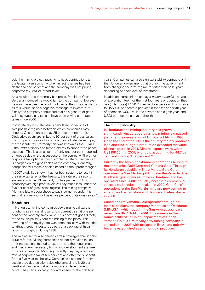sold the mining project, praising its huge contributions to the Guatemalan economy when in fact royalties had been slashed to one per cent and the company was not paying corporate tax, VAT or import taxes.

As a result of the extremely bad press, President Oscar Berger announced he would talk to the company. However, he also made clear he would not cancel their *maquila* status as this would 'send a negative message to investors'.32 Finally the company announced that as a gesture of good will they would pay tax and have been paying corporate taxes since 2006.

Corporate tax in Guatemala is calculated under one of two possible regimes between which companies may choose. One option is to pay 25 per cent of net profit. Deductible costs are limited to 97 per cent of gross sales. If a company chooses this option they will also have to pay the 'solidarity tax' (formerly this was known as the IETAPP – the 'extraordinary and temporary tax to support the peace accords'). This is a small tax – of only one per cent – applied on gross sales or the asset base of the company. The other corporate tax option is much simpler. A rate of five per cent is charged on the gross sales of the company. Generally, companies will make a choice based on their profit margins.

A 2007 study has shown that, for both systems to result in the same tax take for the Treasury, the rate in the second system should be 16 per cent, not five per cent.<sup>33</sup> Any company with high profit levels will pay much less under the five per cent of gross sales regime. The mining company Montana Exploradora chose to pay income tax under this second regime and so it pays five per cent of its gross sales.<sup>34</sup>

#### **Honduras**

In Honduras, mining companies pay a municipal tax that functions as a mineral royalty. It is currently set at one per cent of the monthly sales value. This payment goes directly to the municipality where the mining takes place. This lowering of the royalty rate was done explicitly with the idea to attract foreign investors as part of a package of fiscal reforms brought in during 1998.

The mining sector also gained certain privileges through the 1998 reforms. Mining companies do not pay sales tax on their transactions related to exports, and their equipment and machinery necessary for mining development are free of taxes on imports. Most significantly they pay a reduced rate of corporate tax of ten per cent and effectively benefit from a five-year tax holiday. Companies also benefit from accelerated depreciation rules (the annual rate is 20 per cent) and can deduct all exploration and development costs. They can also carry forward losses for the first four

years. Companies can also sign tax-stability contracts with the Honduran government that prohibit the government from changing their tax regime for either ten or 15 years, depending on their level of investment.

In addition, companies also pay a *canon territorial* – a type of exploration fee. For the first four years of operation they pay (in lempiras) US\$0.25 per hectare per year. This is raised to US\$0.75 per hectare per year in the fifth and sixth year of operation, US\$1.50 in the seventh and eighth year, and US\$3 per hectare per year after that.

#### **The mining industry**

In Honduras, the mining industry has grown significantly, encouraged by a new mining law passed just after the devastation of Hurricane Mitch in 1998. Up to the end of the 1990s the country mainly produced lead and zinc, but gold production exceeded the value of zinc exports in 2001. Mineral exports were worth US\$198.26m in 2007, with gold accounting for 44.7 per cent and zinc for 34.2 per cent.<sup>35</sup>

Currently the two biggest mining operations belong to the companies Gold Corp and Yamana Gold. Through its Honduran subsidiary Entre Mares, Gold Corp operates the San Martin gold mine in the Valle de Siria. It is the largest opencast mine in Honduras and has operated since 2000. It quickly became a commercial success and production peaked in 2002. Gold Corp's operations at the San Martin mine are now coming to an end, and reclamation and closure activities started in 2008.

Canadian firm Yamana Gold operates through its local subsidiary, the company Minerales de Occidente (MINOSA), which bought the San Andres opencast mine from RNC Gold in 2006. This mine is in the municipality of La Unión, department of Copán. Yamana Gold is a relatively new mining company. It started up in 2003 with projects in Brazil and quickly became established as a junior gold producer.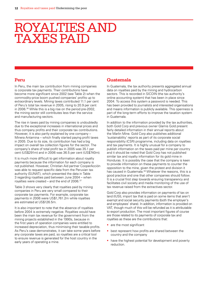## ROYALTIES AND taxes paid

#### **Peru**

In Peru, the main tax contribution from mining companies is corporate tax payments. Their contributions have become more significant since 2002 (see Table 2) when the commodity-price boom pushed companies' profits up to extraordinary levels. Mining taxes contributed 11.1 per cent of Peru's total tax revenue in 2005, rising to 20.9 per cent in 2006.36 While this is a big rise on the period pre-2002, the mining sector still contributes less than the service and manufacturing sectors.

The rise in taxes paid by mining companies is undoubtedly due to the exceptional increases in international prices and thus company profits and their corporate tax contributions. However, it is also partly explained by one company – Minera Antamina – which finally started paying profit taxes in 2005. Due to its size, its contribution has had a big impact on overall tax collection figures for the sector. The company's share of total profit tax in 2005 was 35.1 per cent (US\$291m) and in 2006 was 36.5 per cent (US\$740m).

It is much more difficult to get information about royalty payments because the information for each company is not published. However, Christian Aid partner CooperAcción was able to request specific data from the Peruvian tax authority (SUNAT), which presented the data in Table 3 regarding royalties paid between June 2004 – when royalties were created – and the end of 2006.37

Table 3 shows very clearly that royalties paid by mining companies in Peru are very small compared to their corporate tax payments. For example, corporate tax payments in 2006 were US\$1,761.2m while royalties are estimated at US\$126.5m.

It is also important to note that the absence of royalties before 2004 is extremely negative. Royalties would have been the main tax revenue for the government from the mining projects established in the 1990s, because in the first years of operation companies were entitled to increased depreciation, thus minimising their taxable profits. As Peru's case demonstrates, it can take some years before any corporate taxes are paid, so royalties are a critical tool to ensure revenue is generated for the host country in the early years of operating a mine.

#### **Guatemala**

In Guatemala, the tax authority presents aggregated annual data on royalties paid by the mining and hydrocarbon sectors. This is recorded in SICOIN (the tax authority's online accounting system) that has been in place since 2004. To access this system a password is needed. This has been provided to journalists and interested organisations and means information is publicly available. This openness is part of the long-term efforts to improve the taxation system in Guatemala.

In addition to the information provided by the tax authorities, both Gold Corp and previous owner Glamis Gold present fairly detailed information in their annual reports about the Marlin Mine. Gold Corp also publishes additional 'sustainability' reports as part of its corporate social responsibility (CSR) programme, including data on royalties and tax payments. It is highly unusual for a company to publish information on the taxes paid per mine per country and it should be noted that Gold Corp has not published similar tax and royalty information for its gold mine in Honduras. It is possibly the case that the company is keen to provide information on these payments to counter the opposition to the mine, given the protest and division it has caused in Guatemala.<sup>38</sup> Whatever the reasons, this is a good practice and one that other companies should follow. It is a crucial first step towards ensuring transparency and facilitates civil society and media monitoring of the use of tax revenue raised from the extractives sector.

Gold Corp also provides information on payments of tax on land (IUSI), import tax that is paid on some items that aren't exempt and social security payments (both the employer's and employees' share). In addition, information is provided on VAT, though much of this will be refunded as it is attributable to export production. The most important figures of course are those related to its payments of corporate tax and royalties as these are the contributions that:

- are the most significant
- best represent how profits are shared between the country and the company
- have the highest potential for development and poverty reduction.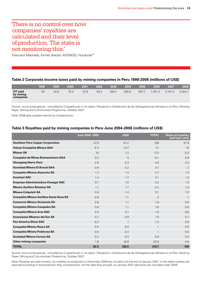### 'There is no control over how companies' royalties are calculated and their level of production. The state is not monitoring this.'

Francisco Machado, former director, ASONOG, Honduras<sup>39</sup>

#### **Table 2 Corporate income taxes paid by mining companies in Peru 1998-2008 (millions of US\$)**

|                                           | 1998 | 1999 | 2000 | 2001 | 2002 | 2003  | 2004  | 2005  | 2006   | 2007    | 2008    |
|-------------------------------------------|------|------|------|------|------|-------|-------|-------|--------|---------|---------|
| <b>CIT paid</b><br>by mining<br>companies | 84   | 40.8 | 70.4 | 51.8 | 85.2 | 169.4 | 289.8 | 657.7 | .761.2 | 2.781.5 | 2,304.7 |

Source: www.sunat.gob.pe – compiled by CooperAcción in its report *Tributación y Distribución de las Sobreganancias Mineras en el Perú*, Working Paper, Mining and Communities Programme, October 2007.

Note: 2008 data supplied directly by CooperAcción.

#### **Table 3 Royalties paid by mining companies in Peru June 2004-2006 (millions of US\$)**

|                                         | June 2004-2005 | 2006         | <b>TOTAL</b> | <b>Share of royalties</b><br>paid (per cent) |
|-----------------------------------------|----------------|--------------|--------------|----------------------------------------------|
| <b>Southern Peru Copper Corporation</b> | 47.8           | 61.2         | 109          | 51.9                                         |
| Volcan Compañía Minera SAA              | 6.3            | 14.7         | 21           | 10                                           |
| <b>Minsur SA</b>                        | 10             | 7.2          | 17.3         | 8.2                                          |
| Compañía de Minas Buenaventura SAA      | 3.2            | 5            | 8.1          | 3.9                                          |
| Shougang Hierro Perú                    | 2.6            | 2.3          | 4.8          | 2.3                                          |
| <b>Sociedad Minera El Brocal SAA</b>    | 0.9            | 3.2          | 4.1          | $\overline{2}$                               |
| Compañía Minera Atacocha SA             | 1.3            | 1.4          | 2.7          | 1.3                                          |
| <b>Aruntani SAC</b>                     | 1.4            | 1.7          | 3.1          | 1.5                                          |
| Empresa Administradora Chungar SAC      | 0.7            | 1.5          | 2.2          | 1.0                                          |
| Minera Aurifera Retamas SA              | 1.1            | 1.1          | 2.2          | 1.0                                          |
| <b>Minera Colquisiri SA</b>             | 0.8            | 1.4          | 2.1          | 1.0                                          |
| Compañía Minera Aurifera Santa Rosa SA  | 0.9            | 1.1          | 2            | $\mathbf{1}$                                 |
| <b>Consorcio Minero Horizonte SA</b>    | 0.8            | 1.1          | 1.9          | 0.9                                          |
| <b>Compañía Minera Casapalca SA</b>     | 0.6            | 1.1          | 1.6          | 0.8                                          |
| <b>Compañía Minera Ares SAC</b>         | 0.9            | 0.7          | 1.6          | 0.8                                          |
| <b>Inversiones Mineras del Sur SA</b>   | 0.7            | 0.8          | 1.5          | 0.7                                          |
| <b>Pan America Silver SAC</b>           | 0.3            | $\mathbf{1}$ | 1.3          | 0.6                                          |
| <b>Compañía Minera Raura SA</b>         | 0.5            | 0.5          | $\mathbf{1}$ | 0.5                                          |
| <b>Compañía Minera Poderosa SA</b>      | 0.5            | 0.4          | $\mathbf{1}$ | 0.5                                          |
| <b>Sociedad Minera Corona SA</b>        | 0.4            | 0.4          | 0.8          | 0.4                                          |
| <b>Other mining companies</b>           | 1.9            | 18.9         | 20.8         | 9.9                                          |
| <b>TOTAL</b>                            | 83.5           | 126.5        | 210.1        | 100                                          |

Source: www.sunat.gob.pe – compiled by CooperAcción in its report *Tributación y Distribución de las Sobreganancias Mineras en el Perú*, Working Paper, Mining and Communities Programme, October 2007.

Note: Royalties are paid monthly. So royalties on production in December 2006 are not paid until the end of January 2007. In this table royalties are reported according to the production they correspond to, not the date they are paid, so January 2007 payments are recorded under 2006.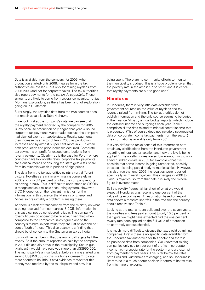Data is available from the company for 2005 (when production started) until 2008. Figures from the tax authorities are available, but only for mining royalties from 2005-2008 and not for corporate taxes. The tax authorities also report payments for the *canon de superficie*. These amounts are likely to come from several companies, not just Montana Exploradora, as there has been a lot of exploration going on in Guatemala.

Surprisingly, the royalties data from the two sources does not match up at all, as Table 4 shows.

If we look first at the company's data we can see that the royalty payment reported by the company for 2005 is low because production only began that year. Also, no corporate tax payments were made because the company had claimed exempt *maquila* status. Royalty payments then increase by a factor of ten in 2006 as production increases and by almost 50 per cent more in 2007 when both production and price increases occurred. Corporate tax payments on profit far exceed contributions from royalty payments. Clearly – as is the case for Peru – where countries have low royalty rates, corporate tax payments are a critical means of ensuring the state gets a fair share from its minerals wealth in periods of high prices.

The data from the tax authorities paints a very different picture. Royalties are minimal – missing completely in 2006 and only 3.4 per cent of what the company reports as paying in 2007. This is difficult to understand as SICOIN is recognised as a reliable accounting system. However, SICOIN depends on the relevant ministries for their information, in this case on the Ministry of Energy and Mines so presumably a problem is arising there.

As there is a lack of transparency from the ministry on what is being received from companies, SICOIN information in this case cannot be considered reliable. The company's royalty figures do appear to be reliable, given that when compared to the company's sales figures and to the country's mineral export value they are just below one per cent of both of these. This discrepancy is a finding that should be of concern to the Guatemalan tax authority.

It is worth remembering that the municipality gets half the royalty. So if the amount reported as paid by the company in 2007 did actually arrive in the municipality, San Miguel Ixtahuacán would have received more than US\$950,000. The municipality's annual budget before mining started was around US\$150,000 so this is a huge increase.40 To date there seems to be little (if any) evidence of whether this money was received by the municipality and how it is

being spent. There are no community efforts to monitor the municipality's budget. This is a huge problem, given that the poverty rate in the area is 97 per cent, and it is critical that royalty payments are put to good use.<sup>41</sup>

#### **Honduras**

In Honduras, there is very little data available from government sources on the value of royalties and tax revenue raised from mining. The tax authorities do not publish information and the only source seems to be buried in the Finance Ministry annual budget reports, which include the detailed income and outgoings each year. Table 5 comprises all the data related to mineral sector income that is presented. (This of course does not include disaggregated data on corporate income tax payments from the sector.) The information is available only from 2001.

It is very difficult to make sense of this information or to obtain any clarifications from the Honduran government regarding mineral sector taxation and how the law is being applied.42 The royalty figures are so low – amounting to only a few hundred dollars in 2003 for example – that it is possible that some income is going unreported, possibly because it is being paid directly to municipalities. However, it is also true that until 2006 the royalties were reported specifically as mineral royalties. This changes in 2006 to 'various royalties' so from that date it is likely the mineral figure is overestimated.

Still the royalty figures fall far short of what we would expect if Honduras was receiving one per cent of the value of its export sales. An estimation based on export data shows a massive shortfall in the royalties the country should receive (see Table 6).

Looking at the total amount collected over the seven years, the royalties and fees paid amount to only 10.5 per cent of the figure we might have expected had the one per cent royalty rate been applied on the full value of production – an extremely serious shortfall.

It is much more difficult to discuss the taxes paid by mining companies. Firstly there is no specific data available from the Honduran tax authorities for this sector and there is no published data from companies. We know that mining companies only pay ten per cent of profits in corporate income tax – a special rate for the sector – and are exempt from payments for five years. This is far below the rates both Peru and Guatemala are charging, and so Honduras is likely to be in a much poorer position in terms of its tax take from its mineral exports.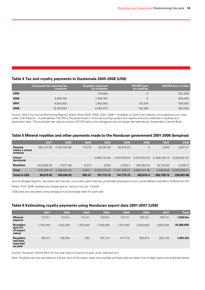#### **Table 4 Tax and royalty payments in Guatemala 2005-2008 (US\$)**

|      | Corporate tax reported by<br>company | <b>Royalties reported</b><br>by company | <b>SICOIN data</b><br>on royalties | <b>SICOIN data on fees</b> |
|------|--------------------------------------|-----------------------------------------|------------------------------------|----------------------------|
| 2005 | $\overline{\phantom{0}}$             | 130.094                                 | 0                                  | 621,000                    |
| 2006 | 3,399,750                            | 1,298,762                               |                                    | 604,000                    |
| 2007 | 9,524,892                            | 1.902.953                               | 65,334                             | 607,000                    |
| 2008 | 12,497,852                           | 2,484,473                               | 142,386                            | 654,000                    |

Source: Gold Corp Annual Monitoring Reports, Marlin Mine 2005, 2006, 2007, 2008.43 Available on Gold Corp website www.goldcorp.com (see under CSR Reports – Sustainability). SICOIN is the government's online accounting system and reports amounts collected in royalties and exploration fees. The exchange rate used to convert SICOIN data is the average annual exchange rate reported by Guatemala's Central Bank.

#### **Table 5 Mineral royalties and other payments made to the Honduran government 2001-2008 (lempiras)**

|                                            | 2001                     | 2002                     | 2003    | 2004         | 2005         | 2006         | 2007         | 2008         |
|--------------------------------------------|--------------------------|--------------------------|---------|--------------|--------------|--------------|--------------|--------------|
| <b>Patente</b><br>minas y zonas<br>mineras | 962.147.59               | 2.140.352.96             | 710.70  | 30.287.50    | 28,675.63    | 0            | 3.600        | 3,657.27     |
| Canon<br>territorial                       | $\overline{\phantom{a}}$ | $\overline{\phantom{a}}$ | $\sim$  | 2.990.722.83 | 2,747,529.84 | 5.441.872.03 | 5,482,535.10 | 5,026,841.07 |
| <b>Royalties</b>                           | 453,638.56               | 17.671.56                | 6.310   | 2,000        | 5.050.2      | 146.280.33   | 22.709.95    | 2,538.17     |
| <b>Total</b>                               | 1,415,786.15             | 2,158,024.52             | 7.020.7 | 3.023.010.33 | 2.781.255.67 | 5,588,152.36 | 5,508,845    | 5,033,036.51 |
| <b>Total in US\$</b>                       | 90,413.45                | 126,284.45               | 392.27  | 161,713.73   | 141,775.72   | 283,814.4    | 282.728.73   | 259,601.06   |

Source: Budget Reports, Secretaria de Finanzas: www.sefin.gob.hn/portal\_prod/index.php?option=com\_content&task=view&id=133&itemid=157 Notes: From 2006 royalties are categorised as 'various' not just 'mineral'.

US\$ totals are calculated using average annual exchange rates for each year.

#### **Table 6 Estimating royalty payments using Honduran export data 2001-2007 (US\$)**

|                                                     | 2001      | 2002      | 2003      | 2004      | 2005      | 2006      | 2007      | <b>Total</b> |
|-----------------------------------------------------|-----------|-----------|-----------|-----------|-----------|-----------|-----------|--------------|
| <b>Mineral</b><br>exports                           | 113.5m    | 124.2m    | 115.4m    | 134.8m    | 133.1m    | 220.3m    | 198.3m    | 1,039.6m     |
| <b>Royalties</b><br>due (1%<br>of export<br>value)  | 1.135.000 | 1,242,000 | 1,154,000 | 1,348,000 | 1,331,000 | 2,203,000 | 1.983.000 | 10,396,000   |
| <b>Royalties</b><br>and fees<br>reported<br>as paid | 90.413    | 126,284   | 392       | 161.714   | 141.776   | 283,814   | 282,729   | 1,087,122    |

Source: Honduran Central Bank for the total value of exports of gold, silver, lead and zinc.

Note: Royalties due are calculated at one per cent of the export value and royalties and fees paid are taken from budget reports as explained above.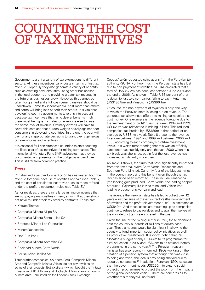## COUNTING THE COST of tax incentives

Governments grant a variety of tax exemptions to different sectors. All these incentives carry costs in terms of lost tax revenue. Hopefully they also generate a variety of benefits such as creating new jobs, stimulating other businesses in the local economy and providing greater tax revenue in the future as businesses grow. However, this cannot be taken for granted and a full cost-benefit analysis should be undertaken. Some tax incentives will cost more than others and some will bring less benefit than others. It is vital that developing-country governments take this into account because tax incentives that fail to deliver benefits imply there must be higher tax rates on everyone else to raise the same level of revenue. Ordinary citizens will have to cover this cost and that burden weighs heavily against poor consumers in developing countries. In the end the poor will pay for any inappropriate decisions to grant overly generous tax exemptions and incentives.

It is essential for Latin American countries to start counting the fiscal cost of tax incentives for mining companies. The International Monetary Fund (IMF) advocates that they be documented and presented in the budget as expenditure. This is still far from common practice.

#### **Peru**

Christian Aid's partner CooperAcción has estimated both the revenue foregone because of royalties not paid (see Table 7) and the cost of certain tax incentives such as those offered under the profit-reinvestment rules (see Table 8).<sup>44</sup>

As for royalties, there are nine large mining companies that are not paying any royalties in Peru, arguing that they should not have to under their tax-stability contracts. These are:

- Xstrata Tintaya
- Compañia Minera Milpo SA
- Compañia Minera Santa Luisa SA
- Empresa Minera Los Quenuales
- Minera Yanacocha
- Doe Run Perú
- Compañia Minera Antamina SA
- Sociedad Minera Cerro Verde
- Barrick Misquichilca SA.

Three further companies, Southern Peru, Compañia Minera Ares and Compañia Minera Volcan, do not pay royalties on some of their projects. Both Xstrata – which bought the Tintaya mine from BHP Billiton – and Hochschild Mining – which owns Minera Ares – are listed on the London Stock Exchange.

CooperAcción requested calculations from the Peruvian tax authority (SUNAT) of how much the Peruvian state has lost due to non-payment of royalties. SUNAT calculated that a total of US\$357.2m has been lost between June 2004 and the end of 2006. As shown in Table 7, 63 per cent of that is down to just two companies failing to pay – Antamina (US\$130.5m) and Yanacocha (US\$96.1m).

Of course, the non-payment of royalties is only one way in which the Peruvian state is losing out on revenue. The generous tax allowances offered to mining companies also cost money. One example is the revenue foregone due to the 'reinvestment of profit' rules. Between 1994 and 1999, US\$629m was reinvested in mining in Peru. This reduced companies' tax burden by US\$189m in that period (or on average by US\$31m a year). Table 8 presents the revenue foregone between 1994 and 1999 and between 2000 and 2006 according to each company's profit-reinvestment levels. It is worth remembering that this was an officially sanctioned tax subsidy only until the year 2000 when this tax break was abolished, but in fact the lost revenue has increased significantly since then.

As Table 8 shows, the firms that have significantly benefited from this tax break were Cerro Verde, Yanacocha and Southern Peru Limited. Currently four of the biggest mines in the country are using this benefit even though the tax law has since been reformed. These include Yanacocha (the leading gold producer), Cerro Verde (the leading copper producer), Cajamarquilla (a zinc mine) and Volcan (the leading producer of silver, zinc and lead).

The revenue the Peruvian state has failed to collect over 12 years – just because of these two factors (the non-payment of royalties and the profit-reinvestment rules) – is estimated at US\$849m. And these losses are mounting up as companies continue to refuse to pay royalties and to avail themselves of the now defunct tax breaks offered in the past.

Given the size of the mining sector in Peru, these decisions cost the country hundreds of millions of dollars each year. These amounts would be significant in allowing the country to fund important social-policy initiatives as well as productive investments. It is worth noting that Peru allocated a budget of only US\$44m to its programme for rural education in 2007 and US\$25m to its national literacy programme in the same year.45 The Peruvian treasury minister has also recently informed NGOs working on the creation of a pension system that although this was close to being approved, the idea is now being shelved due to resource constraints.46 In addition, Peruvian NGOs calculate that the government needs US\$220m to expand socialprotection programmes to protect the poor from the impacts of the global economic crisis.47 There are concerns as to whether this money will be found.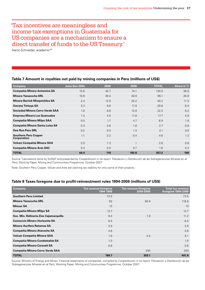### 'Tax incentives are meaningless and income tax exemptions in Guatemala for US companies are a mechanism to ensure a direct transfer of funds to the US Treasury.'

Aaron Schneider, academic<sup>48</sup>

#### **Table 7 Amount in royalties not paid by mining companies in Peru (millions of US\$)**

| Company                                           | June-Dec 2004 | 2005 | 2006  | <b>TOTAL</b> | Share in % |
|---------------------------------------------------|---------------|------|-------|--------------|------------|
| <b>Compañía Minera Antamina SA</b>                | 15.8          | 40.7 | 74.1  | 130.5        | 36.5       |
| Minera Yanacocha SRL                              | 16.8          | 38.4 | 40.9  | 96.1         | 26.9       |
| <b>Minera Barrick Misquichilca SA</b>             | 2.4           | 12.5 | 25.2  | 40.2         | 11.2       |
| <b>Xstrata Tintaya SA</b>                         | 3.3           | 8.6  | 17.9  | 29.8         | 8.4        |
| Sociedad Minera Cerro Verde SAA                   | 1.8           | 6.6  | 13.9  | 22.3         | 6.2        |
| <b>Empresa Minera Los Quenuales</b>               | 1.4           | 4.5  | 11.8  | 17.7         | 4.9        |
| <b>Compañía Minera Milpo SAA</b>                  | 0.5           | 1.7  | 4.7   | 6.9          | 1.9        |
| Compañía Minera Santa Luisa SA                    | 0.3           | 0.6  | 1.8   | 2.7          | 0.8        |
| Doe Run Peru SRL                                  | 0.2           | 0.5  | 1.4   | 2.1          | 0.6        |
| <b>Southern Peru Copper</b><br><b>Corporation</b> | 1.1           | 3.2  | 0.4   | 4.6          | 1.3        |
| Volcan Compañía Minera SAA                        | 0.5           | 1.3  | 1     | 2.8          | 0.8        |
| <b>Compañía Minera Ares SAC</b>                   | 0.4           | 0.5  | 0.7   | 1.6          | 0.4        |
| <b>TOTAL</b>                                      | 44.4          | 119  | 193.9 | 357.2        | 100        |

Source: Calculations done by SUNAT and presented by CooperAcción in its report *Tributación y Distribución de las Sobreganancias Mineras en el Perú*, Working Paper, Mining and Communities Programme, October 2007.

Note: Southern Peru Copper, Volcan and Ares are claiming tax stability for only some of their projects.

#### **Table 8 Taxes foregone due to profit-reinvestment rules 1994-2006 (millions of US\$)**

| Company                                | <b>Tax revenue foregone</b><br>1994-1999 | Tax revenue foregone<br>2000-2006 | Total tax revenue<br>foregone 1994-2006 |
|----------------------------------------|------------------------------------------|-----------------------------------|-----------------------------------------|
| <b>Southern Peru Limited</b>           | 73.5                                     |                                   | 73.5                                    |
| <b>Minera Yanacocha SRL</b>            | 62                                       | 56.9                              | 118.8                                   |
| <b>Minsur SA</b>                       | 13                                       |                                   | 13                                      |
| <b>Compañía Minera Milpo SA</b>        | 12.7                                     |                                   | 12.7                                    |
| Soc. Min. Refineria Zinc Cajamarquilla | 9.4                                      | 1.8                               | 11.2                                    |
| <b>Consorcio Minero Horizonte SA</b>   | 6.5                                      |                                   | 6.5                                     |
| Minera Aurifera Retamas SA             | 3.9                                      |                                   | 3.9                                     |
| <b>Compañía Minera Atacocha SA</b>     | 4.6                                      |                                   | 4.6                                     |
| Volcan Compañía Minera SAA             | 1.6                                      | 4.5                               | 6.1                                     |
| <b>Compañía Minera Condestable SA</b>  | 1.0                                      |                                   | 1.0                                     |
| Compañía Minera Caraveli SA            | 0.6                                      |                                   | 0.6                                     |
| <b>Compañía Minera Cerro Verde SAA</b> |                                          | 240                               | 240                                     |
| <b>TOTAL</b>                           | 188.7                                    | 303.1                             | 491.8                                   |

Source: Ministry of Energy and Mines, Financial statements of companies, compiled by CooperAcción in its report *Tributación y Distribución de las Sobreganancias Mineras en el Perú*, Working Paper, Mining and Communities Programme, October 2007.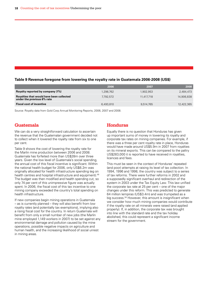#### **Table 9 Revenue foregone from lowering the royalty rate in Guatemala 2006-2008 (US\$)**

|                                                                        | 2006      | 2007       | 2008       |
|------------------------------------------------------------------------|-----------|------------|------------|
| Royalty reported by company (1%)                                       | 1.298.762 | 1,902,953  | 2,484,473  |
| Royalties that would have been collected<br>under the previous 6% rate | 7.792.572 | 11.417.718 | 14,906,838 |
| <b>Fiscal cost of incentive</b>                                        | 6,493,810 | 9,514,765  | 12,422,365 |

Source: Royalty data from Gold Corp Annual Monitoring Reports, 2006, 2007 and 2008.

#### **Guatemala**

We can do a very straightforward calculation to ascertain the revenue that the Guatemalan government decided not to collect when it lowered the royalty rate from six to one per cent.

Table 9 shows the cost of lowering the royalty rate for the Marlin mine production between 2006 and 2008. Guatemala has forfeited more than US\$28m over three years. Given the low level of Guatemala's social spending, the annual cost of this fiscal incentive is significant. Within the national health budget for 2006, only US\$6.2m was originally allocated for health infrastructure spending (eg on health centres and hospital infrastructure and equipment).<sup>49</sup> The budget was then modified and health spending cut, so only 74 per cent of this unimpressive figure was actually spent. In 2006, the fiscal cost of this tax incentive to one mining company exceeded the country's total spending on health infrastructure.

If new companies begin mining operations in Guatemala – as is currently planned – they will also benefit from low royalty rates (and potentially tax exemptions), implying also a rising fiscal cost for the country. In return Guatemala will benefit from only a small number of new jobs (the Marlin mine employed 1,149 workers in 2007) to be set against any environmental damage and pollution caused by the mine operations, possible negative impacts on agriculture and human health, and the increasing likelihood of social unrest in mining areas.

#### **Honduras**

Equally there is no question that Honduras has given up important sums of money in lowering its royalty and corporate tax rates on mining companies. For example, if there was a three per cent royalty rate in place, Honduras would have made around US\$5.9m in 2007 from royalties on its mineral exports. This can be compared to the paltry US\$283,000 it is reported to have received in royalties, licences and fees.

This must be seen in the context of Honduras' repeated (and poor) attempts at raising its level of tax collection. In 1994, 1996 and 1998, the country was subject to a series of tax reforms. There were further reforms in 2002 and a supposedly significant overhaul and redirection of the system in 2003 under the Tax Equity Law. This law unified the corporate tax rate at 25 per cent – one of the major changes under this reform. This was predicted to generate 64 million lempiras (US\$3.4m) and was trumpeted as a big success.<sup>50</sup> However, this amount is insignificant when we consider how much mining companies would contribute if the royalty rate on all minerals were raised (and applied properly). If, in addition, the corporate tax was brought into line with the standard rate and the tax holiday abolished, this could represent a significant income stream for the government.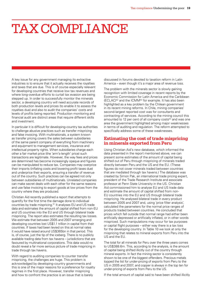# Tax compliance

A key issue for any government managing its extractive industries is to ensure that it actually receives the royalties and taxes that are due. This is of course especially relevant for developing countries that receive low tax revenues and where long-overdue efforts to curtail tax evasion are being stepped up. In order to successfully monitor the minerals sector, a developing country will need accurate records of both production levels and prices (to enable it to assess the royalties due) and also to audit the companies' costs and levels of profits being reported. Production monitoring and financial audit are distinct areas that require different skills and investment.

In particular it is difficult for developing-country tax authorities to challenge abusive practices such as transfer mispricing and false invoicing. With multinationals, a system known as transfer pricing covers the sales between subsidiaries of the same parent company of everything from machinery and equipment to management services, insurance and intellectual property rights. When subsidiaries charge each other a fair market price (the 'arm's-length' price) such transactions are legitimate. However, the way fees and prices are determined has become increasingly opaque and figures can be manipulated to reduce tax. Companies may overprice their imports (inflating costs and lowering profit taxes due) and underprice their exports, ensuring a transfer of revenue out of the country. Such practices can be agreed not only between subsidiaries of multinationals. Unrelated companies can make secret deals with each other for the same reasons and use false invoicing to export goods at low prices from the country where they are produced.

Christian Aid recently published a report that attempts to quantify for the first time the damage done to individual countries by trade mispricing.<sup>51</sup> It analyses EU and US trade data and estimates the amount of capital shifted from non-EU and US countries into the EU and US through bilateral trade mispricing. The report also estimates the resulting tax losses. We estimate that between 2005 and 2007 emerging and developing countries lost US\$1.1 trillion in capital from their countries. If taxes had been levied on this at normal rates it would have raised around US\$365bn in that period. This is, of course, just the tip of the iceberg. There is no publicly available trading data from tax havens – jurisdictions that are favoured by multinational corporations. This data would no doubt reveal a far more serious picture of trade mispricing in trade through tax havens.

With regard to auditing companies to counter transfer mispricing, the challenges are huge. This problem is acknowledged by developing-country governments and this is one of the major reasons for a preference for royalty regimes in the first place. However, transfer mispricing and how to confront the practice is an issue that is barely

discussed in forums devoted to taxation reform in Latin America – even though it's a major area of revenue loss.

The problem with the minerals sector is slowly gaining recognition with limited coverage in recent reports by the Economic Commission for Latin America and the Caribbean (ECLAC)<sup>52</sup> and the ICMM<sup>53</sup> for example. It has also been highlighted as a key problem by the Chilean government in its recent mining reforms. In Chile, mining companies' second-largest reported cost was for consultants and contracting of services. According to the mining council this amounted to 12 per cent of all company costs<sup> $54$ </sup> and was one area the government highlighted among major weaknesses in terms of auditing and regulation. The reform attempted to specifically address some of these weaknesses.

#### **Estimating the cost of trade mispricing in minerals exported from Peru**

Using Christian Aid's new database, which informed the data presented in the report mentioned above, we can present some estimates of the amount of capital being shifted out of Peru through mispricing of minerals traded directly between Peru and the US and the EU. (These figures do not cover minerals traded between countries that are mediated through tax havens.) The database was created by Simon Pak, an international trade pricing expert, president of the Trade Research Institute and associate professor at Penn State University in the US. Christian Aid commissioned him to analyse EU and US trade data and estimate the amount of capital shifted from non-EU countries into the EU and US through bilateral trade mispricing. He analysed bilateral trade in every product between 2005 and 2007 and, using 'price filter analysis', calculated the parameters for the normal price ranges of products traded between countries. He concluded that prices which fell outside that normal range had either been artificially depressed or artificially inflated, or in other words mispriced. Such manipulations may occur for tax purposes or capital flight purposes – either way there is a tax loss for the developing country. In Table 10 we look at only the mispricing that relates to mineral exports from Peru into the US and the EU.

The total for all minerals for Peru over the three years comes to US\$388.6m. This, according to the analysis, is the amount of capital being shifted illicitly out of the country through mineral exports. In fact the mining sector is consistently shown to be one of the biggest offenders. Precious metals topped the list for under-pricing of exports from Peru to the US in 2005 and 2007, and copper is always in the top ten for under-pricing of exports from Peru to the US.

If the total amount of capital said to have been shifted illicitly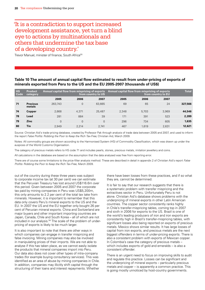### 'It is a contradiction to support increased development assistance, yet turn a blind eye to actions by multinationals and others that undermine the tax base of a developing country.'

Trevor Manuel, minister of finance, South Africa<sup>55</sup>

#### **Table 10 The amount of annual capital flow estimated to result from under-pricing of exports of minerals exported from Peru to the US and the EU 2005-2007 (thousands of US\$)**

| <b>HS</b><br>Code | <b>Product</b><br>category |          |                | Annual capital flow from mispricing of exports<br>from country to US | Annual capital flow from mispricing of exports | <b>Total</b> |       |         |
|-------------------|----------------------------|----------|----------------|----------------------------------------------------------------------|------------------------------------------------|--------------|-------|---------|
|                   |                            | 2005     | 2006           | 2007                                                                 | 2005                                           | 2006         | 2007  |         |
| 71                | <b>Precious</b><br>metals  | 263.743  | $\overline{0}$ | 63.665                                                               | 69                                             | 65           | 24    | 327,566 |
| 74                | Copper                     | 2.668    | 4.371          | 25,487                                                               | 2.348                                          | 5.703        | 3.969 | 44,546  |
| 78                | Lead                       | 281      | 884            | 39                                                                   | 171                                            | 391          | 523   | 2,289   |
| 79                | <b>Zinc</b>                | $\Omega$ | $\overline{0}$ | $\overline{0}$                                                       | 296                                            | 734          | 605   | 1,635   |
| 80                | Tin                        | 2.949    | 2.214          | 2.741                                                                | 467                                            | 1.619        | 2.631 | 12,621  |

Source: Christian Aid's trade-pricing database, created by Professor Pak through analysis of trade data between 2005 and 2007, and used to inform the report *False Profits: Robbing the Poor to Keep the Rich Tax-Free*, Christian Aid, March 2009.

Notes: All commodity groups are shown according to the Harmonised System (HS) of Commodity Classification, which was drawn up under the auspices of the World Customs Organisation.

The category of precious metals refers to HS code 71 and includes pearls, stones, precious metals, imitation jewellery and coins.

All calculations in the database are based on the assumption that the data analysed was free from reporting error.

There are of course some limitations to the price-filter analysis method. These are described in detail in appendix 2 of Christian Aid's report *False Profits: Robbing the Poor to Keep the Rich Tax-Free*, March 2009.

out of the country during these three years was subject to corporate income tax (at 30 per cent) we can estimate that the Peruvian Treasury has lost around US\$116.6m over this period. Given between 2005 and 2007 the corporate tax paid by mining companies in Peru was US\$5,200m, this only amounts to 2.2 per cent of the total tax take from minerals. However, it is important to remember that this data only covers Peru's mineral exports to the US and the EU. In 2007 the US and the EU together only bought 26 per cent of Peruvian mineral exports. China and Switzerland are major buyers and other important importing countries are Japan, Canada, Chile and South Korea – all of which are not included in our analysis.<sup>56</sup> The scale of the problem of underpricing of exports is likely to be much larger.

It is also important to note that there are other ways in which companies can engage in transfer mispricing and false invoicing. Mining companies may also be involved in manipulating prices of their imports. We are not able to analyse if this has taken place, as we cannot easily isolate the products that mineral companies import into Peru. Our data also does not cover other types of intra-company trades (for example buying consultancy services). This was identified as an area of abuse by mining companies in Chile. In addition, companies may illicitly shift capital through the structuring of their loans and interest repayments. Whether

there have been losses from these practices, and if so what they are, cannot be determined.

It is fair to say that our research suggests that there is a systematic problem with transfer mispricing and the extractives sector in Peru. Unfortunately Peru is not alone. Christian Aid's database shows problems with the underpricing of mineral exports in other Latin American countries. The copper sector consistently ranks highly in Chile's transfer-mispricing tables, coming top in 2007 and sixth in 2006 for exports to the US. Brazil is one of the world's leading producers of iron and iron exports are consistently high in Brazil's transfer-mispricing tables, with significant losses also being reported on exports of precious metals. Mexico shows similar results. It has large losses of capital from iron exports, and precious metals are the next biggest offenders in terms of under-pricing exports. There is also a consistent problem with exports of Mexican copper. In Colombia's case the category of precious metals – which includes exports of gold and emeralds – is also a consistent offender.

There is an urgent need to focus on improving skills to audit and regulate this practice. Losses can be significant and the underpricing of mineral exports – particularly precious metals and copper – is apparently a common practice. This is going mostly unnoticed by host-country governments.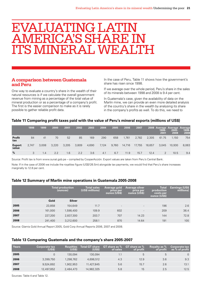## Evaluating Latin America's share in its mineral wealth

#### **A comparison between Guatemala and Peru**

One way to evaluate a country's share in the wealth of their natural resources is if we calculate the overall government revenue from mining as a percentage of the total value of mineral production or as a percentage of a company's profit. The first is the easier comparison to make as it is rarely possible to gather reliable profit data.

In the case of Peru, Table 11 shows how the government's share has risen since 1998.

If we average over the whole period, Peru's share in the sales of its minerals between 1998 and 2008 is 9.4 per cent.

In Guatemala's case, given the availability of data on the Marlin mine, we can provide an even more detailed analysis of the country's share in the wealth by analysing its share in the company's profits as well. To do this, we need to

#### **Table 11 Comparing profit taxes paid with the value of Peru's mineral exports (millions of US\$)**

|                        | 1998  | 1999  | 2000  | 2001  | 2002  | 2003  | 2004  | 2005  | 2006   | 2007   |        | 2008 Average Average Average<br>1998-<br>2001 | $2002 -$<br>2008 | 1998-<br>2008 |
|------------------------|-------|-------|-------|-------|-------|-------|-------|-------|--------|--------|--------|-----------------------------------------------|------------------|---------------|
| <b>Profit</b><br>tax   | 84    | 41    | 70    | 52    | 85    | 169   | 290   | 658   | 1,761  | 2,782  | 2.305  | 61.75                                         | 1.150            | 754           |
| <b>Export</b><br>value | 2.747 | 3.008 | 3.220 | 3,205 | 3,809 | 4,690 | 7,124 | 9,760 | 14,716 | 17,755 | 18,657 | 3,045                                         | 10.930           | 8,063         |
| $\frac{0}{2}$          |       | 1.4   | 2.2   | 1.6   | 2.2   | 3.6   | 4.1   | 6.7   | 11.9   | 15.7   | 12.4   |                                               | 10.5             | 9.4           |

Source: Profit tax is from www.sunat.gob.pe – compiled by CooperAcción. Export values are taken from Peru's Central Bank.

Note: If in the case of 2006 we include the royalties figure (US\$126.5m) alongside tax payments, we would find that Peru's share increases marginally to 12.8 per cent.

#### **Table 12 Summary of Marlin mine operations in Guatemala 2005-2008**

|      |         | <b>Total production</b><br>(ounces) | <b>Total sales</b><br>(US\$ millions) | Average gold<br>price per<br>ounce (US\$) | <b>Average silver</b><br>price per<br>ounce (US\$) | <b>Total</b><br>production<br>costs per<br>ounce (US\$) | <b>Earnings (US\$</b><br>millions) |
|------|---------|-------------------------------------|---------------------------------------|-------------------------------------------|----------------------------------------------------|---------------------------------------------------------|------------------------------------|
|      | Gold    | <b>Silver</b>                       |                                       |                                           |                                                    |                                                         |                                    |
| 2005 | 23,858  | 154,649                             | 11.7                                  | $\overline{\phantom{a}}$                  | $\sim$                                             | 196                                                     | 2.6                                |
| 2006 | 161,000 | 1,598,400                           | 109.9                                 | 602                                       | $\overline{\phantom{a}}$                           | 209                                                     | 36.4                               |
| 2007 | 227,200 | 2,837,300                           | 203.7                                 | 707                                       | 14.23                                              | 144                                                     | 72.8                               |
| 2008 | 241,400 | 3,212,600                           | 258.1                                 | 870                                       | 14.64                                              | 191                                                     | 100                                |

Source: Glamis Gold Annual Report 2005, Gold Corp Annual Reports 2006, 2007 and 2008.

#### **Table 13 Comparing Guatemala and the company's share 2005-2007**

| <b>Years</b> | <b>Corporate tax</b><br>(US\$) | <b>Rovalties</b><br>(US\$) | <b>Total GT share</b><br>(USS) | <b>GT</b> share as %<br>of sales | GT share as %<br>of profit | Royalty as %<br>of profit | <b>Corporate tax.</b><br>as % of profit |
|--------------|--------------------------------|----------------------------|--------------------------------|----------------------------------|----------------------------|---------------------------|-----------------------------------------|
| 2005         |                                | 130.094                    | 130.094                        | 1.1                              | 5                          | 5                         | 0                                       |
| 2006         | 3,399,750                      | 1,298,762                  | 4,698,512                      | 4.3                              | 12.9                       | 3.6                       | 9.3                                     |
| 2007         | 9.524.892                      | 1.902.953                  | 11,427,845                     | 5.6                              | 15.7                       | 2.6                       | 13.1                                    |
| 2008         | 12,497,852                     | 2,484,473                  | 14,982,325                     | 5.8                              | 15                         | 2.5                       | 12.5                                    |

Sources: Table 4 and Table 12.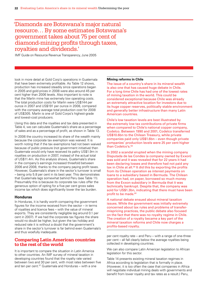### 'Diamonds are Botswana's major natural resource… By some estimates Botswana's government takes about 75 per cent of diamond-mining profits through taxes, royalties and dividends.'

IMF Guide on Resource Revenue Transparency, June 2005

look in more detail at Gold Corp's operations in Guatemala that have been extremely profitable. As Table 12 shows, production has increased steadily since operations began in 2005 and gold prices in 2008 were also around 45 per cent higher than 2006 levels. Also important to note is that the Marlin mine has extremely low operating costs. The total production costs for Marlin were US\$144 per ounce in 2007 and US\$191 per ounce in 2008, compared with the company average total production cost for 2008 of US\$305. Marlin is one of Gold Corps's highest-grade and lowest-cost producers.

Using this data and the royalties and tax data presented in Table 4, we can calculate Guatemala's share as a percentage of sales and as a percentage of profit, as shown in Table 13.

In 2006 the country increased its share of the wealth mainly because the corporate tax exemption was waived. It is worth noting that if the tax exemptions had not been waived because of public pressure (not government initiative) then Guatemala would only have received its paltry US\$1.9m in royalties on production in 2007, instead of the actual total of US\$11.4m. As this analysis shows, Guatemala's share in the company's earnings increased threefold between 2006 and 2008, thanks to the company paying profit taxes. However, Guatemala's share in the sector's turnover is small – being only 5.8 per cent in its best year. This demonstrates that Guatemala lags somewhat behind Peru (see Table 11). Presumably this is because its corporate tax rules offer the generous option of opting for a five per cent gross sales income tax which does significantly lower the tax burden.

#### **Honduras**

In Honduras, it is hardly worth comparing the government figures for the income received from the sector – in terms of royalties and licence fees – with the value of mineral exports. They are consistently negligible (eg around 0.1 per cent in 2007). If we had the corporate tax figures the share would no doubt be higher, but given the tax holiday and reduced rate it is without a doubt that the government's share in the sector's turnover is far behind even Guatemala's and thus woefully inadequate.

#### **Comparing Latin American countries to the rest of the world**

It is important to compare the situation in Latin America to other countries. An IMF survey of mineral taxation in developing countries found that the royalty rate varied between two and 30 per cent, with most rates between five and ten per cent.57 Guatemala and Honduras – with a one

#### **Mining reforms in Chile**

The issue of a country's share in its mineral wealth is also one that has caused huge debate in Chile. For a long time Chile has had one of the lowest rates of mining taxation in the world. This could be considered exceptional because Chile was already an extremely attractive location for investors due to its huge copper reserves, politically stable environment and generally better infrastructure than many Latin American countries.

Chile's low taxation levels are best illustrated by the extremely low tax contributions of private firms when compared to Chile's national copper company, Codelco. Between 1990 and 2001, Codelco transferred US\$10.6bn to the Chilean Treasury, while private companies paid only US\$1.6bn – even though private companies' production levels were 25 per cent higher than Codelco's.<sup>58</sup>

In 2002 a scandal erupted when the mining company Disputada de las Condes (a company owned by Exxon) was sold and it was revealed that for 22 years it had been declaring losses and therefore had not paid any tax in Chile at all.<sup>59</sup> It did this by exporting the profits from its Chilean operation as interest payments on loans to a subsidiary based in Bermuda. The Chilean operation had, on paper, borrowed so much money from the Exxon subsidiary in Bermuda that it was technically bankrupt. Despite that, the company was sold for US\$1.3bn, indicating that there must have been profit to be made.<sup>60</sup>

A national debate ensued about mineral taxation issues. While the government was initially extremely concerned about tax rules and problems of transfermispricing practices, the public debate also focused on the fact that there was no royalty regime in Chile. The creation of a royalty became a key part of the mineral taxation reforms and Chile now charges a profits-based royalty.

per cent royalty rate – and Peru – with a range of one-three per cent – all fall clearly below the average royalties being collected in developing countries.

We can also compare Latin American legislation to African legislation for this sector.

Table 14 presents existing mineral taxation regimes in Africa according to legislation that is formally in place. (However, it is too often the case that companies in Africa will negotiate individual mining deals with governments and benefit from lower royalty and tax rates as a result.) Peru,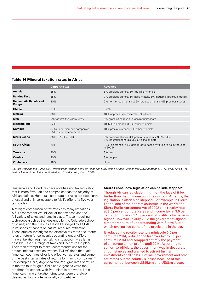#### **Table 14 Mineral taxation rates in Africa**

|                                        | <b>Corporate tax</b>                                 | <b>Royalties</b>                                                                                      |
|----------------------------------------|------------------------------------------------------|-------------------------------------------------------------------------------------------------------|
| Angola                                 | 35%                                                  | 5% precious stones, 3% metallic minerals                                                              |
| <b>Burkina Faso</b>                    | 35%                                                  | 7% precious stones, 4% base metals, 3% industrial/precious metals                                     |
| <b>Democratic Republic of</b><br>Congo | 30%                                                  | 2% non-ferrous metals, 2.5% precious metals, 4% precious stones                                       |
| Ghana                                  | 25%                                                  | $3 - 6%$                                                                                              |
| Malawi                                 | 30%                                                  | 10% unprocessed minerals, 5% others                                                                   |
| Mali                                   | 0% for first five years, 35%                         | 6% gross sales revenue less refinery costs                                                            |
| <b>Mozambique</b>                      | 32%                                                  | 10-12% diamonds, 3-8% other minerals                                                                  |
| <b>Namibia</b>                         | 37.5% non-diamond companies<br>55% diamond companies | 10% precious stones, 5% other minerals                                                                |
| Sierra Leone                           | 30%, 37.5% (rutile)                                  | 5% precious stones, 4% precious minerals, 3.5% rutile,<br>3% industrial minerals, 3% artisanal miners |
| <b>South Africa</b>                    | 28%                                                  | 3.7% diamonds, 2.1% gold (profits-based royalties to be introduced<br>in 2009)                        |
| <b>Tanzania</b>                        | 30%                                                  | 3% gold                                                                                               |
| <b>Zambia</b>                          | 30%                                                  | 3% copper                                                                                             |
| <b>Zimbabwe</b>                        | 35%                                                  | None                                                                                                  |

Source: *Breaking the Curse: How Transparent Taxation and Fair Taxes can turn Africa's Mineral Wealth into Development*, SARW, TWN Africa, Tax Justice Network for Africa, ActionAid and Christian Aid, March 2009.

Guatemala and Honduras have royalties and tax legislation that is more favourable to companies than the majority of African nations. Honduras' corporate tax rules are also highly unusual and only comparable to Mali's offer of a five-year tax holiday.

A straight comparison of tax rates has many limitations. A full assessment would look at the tax base and the full variety of taxes and rates in place. These modelling techniques (such as that designed by the Colorado School of Mines) and their results are well surveyed by ECLAC in its series of papers on natural-resource extraction. These studies investigate the effective tax rates and internal rates of return for companies operating under different mineral taxation regimes, taking into account – as far as possible – the full range of taxes and incentives in place. They then attempt to make recommendations for the optimal mineral taxation system. ECLAC finds that Latin American countries offer low effective tax rates and some of the best internal rates of returns for mining companies.<sup>61</sup> For example Chile, Argentina and Peru give rates of return in the top four for gold. Chile and Argentina were the top three for copper, with Peru ninth in the world. Latin America's mineral taxation structures were therefore classed as 'highly internationally competitive'.

#### **Sierra Leone: how legislation can be side stepped62** Though African legislation might on the face of it be

better than that in some countries in Latin America, that legislation is often side stepped. For example in Sierra Leone, one of the poorest countries in the world, the Sierra Rutile Agreement Act of 2002 sets royalty rates at 3.5 per cent of total sales and income tax at 3.5 per cent of turnover or 37.5 per cent of profits, whichever is higher. However, in July 2003 the government signed a memorandum of understanding with Sierra Rutile, which overturned some of the provisions in the act.

It reduced the royalty rate to a miniscule 0.5 per cent until 2014, reduced the turnover tax to 0.5 per cent until 2014 and scrapped entirely the payment of corporate tax on profits until 2014. According to senior tax officials, the government was in desperate circumstances and wanted to attract further investments at all costs. Internal government and other estimates put the country's losses because of this agreement at between US\$5.6m and US\$8m a year.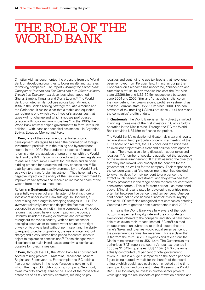## The role of the World Bank

Christian Aid has documented the pressure from the World Bank on developing countries to lower royalty and tax rates for mining companies. The report *Breaking the Curse: How Transparent Taxation and Fair Taxes can turn Africa's Mineral Wealth into Development* describes what happened in Ghana, Zambia, Tanzania and Sierra Leone.63 The World Bank promoted similar policies across Latin America. In 1996 in the Bank's Mining Strategy for Latin America and the Caribbean, it makes clear that a stable and equitable tax regime is one which gives investor's assurances that taxes will not change and which imposes profit-based taxation with no or minimum royalties.64 In the 1990s the World Bank actively helped governments to formulate such policies – with loans and technical assistance – in Argentina, Bolivia, Ecuador, Mexico and Peru.

In **Peru**, one of the government's central economic development strategies has been the promotion of foreign investment, particularly in the mining and hydrocarbons sector. In the 1990s Peru undertook a series of structural reforms under the auspices of programmes with the World Bank and the IMF. Reforms included a raft of new legislation to ensure a 'favourable climate' for investors and an open bidding process for extractive industry concessions.<sup>65</sup> Taxstability contracts are heavily promoted by the World Bank as a way to attract foreign investment. They have had a very negative impact on the ability of the Peruvian government to improve its tax system and receive an increased share of the wealth from its natural resources.

Reforms in **Guatemala** and **Honduras** came later but essentially were part of a similar attempt to attract foreign investment under World Bank tutelage. In Honduras, a new mining law brought in sweeping changes in 1998. The law went relatively unnoticed despite the fact that it was designed in conjunction with mining companies and included reforms that would have a huge impact on the country. Reforms included: allowing exploration and exploitation throughout the whole country, with no restrictions for ecological reserves or to protect water sources; the right of way on to private land without permission and the ability to request forced expropriations; the use of water without charge; and a very limited time period for communities to object to exploration concessions.<sup>66</sup> These changes were all designed to make Honduras as attractive a location as possible for foreign investors.

In **Peru**, through the IFC, the World Bank has co-financed several mining projects – Antamina, Yanacocha, Minera Regina and Buenaventura. For example, the IFC holds a five per cent share in the huge Yanacocha gold mine (in which the major US gold-producing company, Newmont, owns majority shares). Yanacocha is one of the most active defenders of its tax-stability contracts, refusing to pay

royalties and continuing to use tax breaks that have long been removed from Peruvian law. In fact, as our partner CooperAcción's research has uncovered, Yanacocha's and Antamina's refusal to pay royalties has cost the Peruvian state US\$96.1m and US\$130.5m respectively between June 2004 and 2006. Similarly Yanacocha's reliance on the now defunct tax breaks around profit reinvestment has cost the Peruvian state US\$56.9m since 2000. This nonpayment of tax (totalling US\$283.5m since 2000) has raised the companies' profits unduly.

In **Guatemala**, the World Bank is similarly directly involved in mining. It was one of the first investors in Glamis Gold's operation in the Marlin mine. Through the IFC the World Bank provided US\$45m to finance the project.

The World Bank's evaluation of Guatemala's tax and royalty regime should be of particular concern. In a meeting of the IFC's board of directors, the IFC concluded the mine was an excellent project with a clear and positive development impact. There was also a long discussion about taxes and royalties.67 A number of speakers questioned the 'adequacy of the revenue arrangement'. IFC staff assured the directors that they had looked very closely at the benefits for the government, as well as for the company. Their response to the concern was that 'the government itself had decided to lower loyalties from six per cent to one per cent to attract much needed investment' and they explained that 'royalty payments in the range of one to three per cent were considered normal'. This is far from correct – as mentioned above. Mineral royalty rates for developing countries most often fall between five per cent and ten per cent. One per cent should *not* be considered a 'normal' mineral royalty rate at all. IFC staff also recognised that companies entering Guatemala were granted a tax-exempt status until 2008.

This means the World Bank was fully aware of the rockbottom one per cent royalty rate and the corporate tax exemptions offered to the company, and should have been able to calculate their impact. Instead IFC staff claimed on documentation submitted to their directors that the mine's 'taxes and royalties would equal seven per cent of the government's annual tax revenue'. This is a claim that is far from the truth. In 2007 royalties and taxes from the Marlin mine amounted to US\$11.4m. The Guatemalan tax authorities (SAT) report the country's total tax revenue in 2006 as 31,543m quetzales (US\$4,107m).68 So the mine actually contributed 0.3 per cent of total government revenue! This is a huge discrepancy on the seven per cent figure being quoted by staff for the benefit of the board – a figure which could have easily been checked at the time using production and price estimates. It seems the World Bank is all too ready to invest in private-sector projects while ignoring the real impacts of poor taxation policies and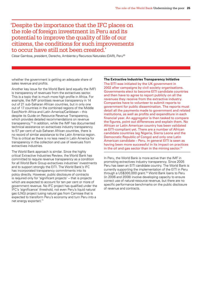### 'Despite the importance that the IFC places on the role of foreign investment in Peru and its potential to improve the quality of life of our citizens, the conditions for such improvements to occur have still not been created.'

César Gamboa, president, Derecho, Ambiente y Recursos Naturales (DAR), Peru<sup>69</sup>

whether the government is getting an adequate share of sales revenue and profits.

Another key issue for the World Bank (and equally the IMF) is transparency of revenues from the extractives sector. This is a topic that is much more high profile in Africa. For example, the IMF prioritises revenue transparency in 14 out of 21 sub-Saharan African countries, but in only one out of 17 countries in the combined regions of the Middle East/North Africa and Latin America/Caribbean – this despite its Guide on Resource Revenue Transparency, which provides detailed recommendations on revenue transparency.70 In addition, while the IMF has documented technical assistance on extractives industry transparency to 57 per cent of sub-Saharan African countries, there is no record of similar assistance to the Latin America region. This is critical as there is no less need in Latin America for transparency in the collection and use of revenues from extractives industries.

The World Bank approach is similar. Since the highly critical Extractive Industries Review, the World Bank has committed to require revenue transparency as a condition for all World Bank Group extractives industries' investments and to support strongly the EITI. The World Bank's IFC has incorporated transparency commitments into its policy directly. However, public disclosure of contracts is required only for 'significant projects' – that is projects which are expected to account for ten per cent or more of government revenue. No IFC project has qualified under the IFC's 'significance' threshold, not even Peru's liquid natural gas (LNG) project (using natural gas from Camisea that is expected to transform Peru's economy and turn Peru into a net energy exporter).<sup>71</sup>

#### **The Extractive Industries Transparency Initiative**

The EITI was initiated by the UK government in 2002 after campaigns by civil society organisations. Governments elect to become EITI candidate countries and then have to agree to report publicly on all the revenues they receive from the extractive industry. Companies have to volunteer to submit reports to government for public dissemination. The reports must detail all the payments made to government and related institutions, as well as profits and expenditure in each financial year. An aggregator is then tasked to compare the figures, point out differences and explain them. No African or Latin American country has been validated as EITI-compliant yet. There are a number of African candidate countries (eg Nigeria, Sierra Leone and the Democratic Republic of Congo) and only one Latin American candidate – Peru. In general EITI is seen as having been more successful in its impact on practices in the oil and gas sector than in the mining sector. $72$ 

In Peru, the World Bank is more active than the IMF in promoting extractives industry transparency. Since 2005 Peru has been an EITI candidate country. The World Bank is currently supporting the implementation of the EITI in Peru through a US\$300,000 grant.73 World Bank loans to Peru (in 2006 and 2008) involve developing capacity to ensure correct use of natural-resource revenue, but there are no specific performance benchmarks on the public disclosure of revenue and contracts.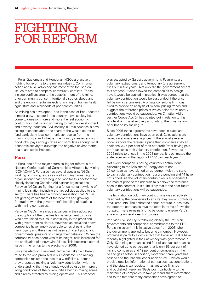## FIGHTING **FOR REFORM**

In Peru, Guatemala and Honduras, NGOs are actively fighting for reforms to the mining industry. Community action and NGO advocacy has most often focused on issues related to company-community conflicts. These include conflicts around the establishment of the mine, prior community consent, territorial disputes about land, and the environmental impacts of mining on human health, agriculture and livelihoods of poor communities.

As mining has developed – and in the case of Peru become a major growth sector in the country – civil society has come to question more and more the real economic contribution that mining is making to national development and poverty reduction. Civil society in Latin America is now asking questions about the share of the wealth countries (and particularly local communities) receive from the mining industry and whether the industry creates enough good jobs, pays enough taxes and stimulates enough local economic activity to outweigh the negative environmental, health and social impacts.

#### **Peru**

In Peru, one of the major actors calling for reform is the National Confederation of Communities Affected by Mining (CONACAMI). Peru also has several specialist NGOs working on mining issues as well as many human rights organisations that have begun to monitor this sector more closely (including Christian Aid partner organisations). Peruvian NGOs are fighting for a fundamental rewriting of mining legislation including the tax policies applied to the sector. There has been a growing realisation that Peru is not getting its fair share of the benefits and growing frustration with the government's handling of relations with mining companies.

Peruvian NGOs have made advances in their advocacy: the adoption of the royalties law is testament to those who have raised this issue continually in the press and with government ministers. However, as explained above, companies have largely been able to resist paying the new royalty and there has not been sufficient public and governmental pressure to change their behaviour. When the commodity price boom was at its height, calls increased for the application of a new windfall tax. This became a central issue in the run up to the elections of 2006.

Since his election, President Garcia has taken a different route to the one promised in his manifesto. The mining companies resisted the idea of a windfall tax. Instead they proposed making a 'voluntary contribution' with the understanding that these funds would be used to improve living conditions of the communities living in mining zones and directly affected by mining operations. This proposal

was accepted by Garcia's government. Payments are voluntary, extraordinary and temporary (the agreement runs out in five years). Not only did the government accept this proposal, it also allowed the companies to design how it would be applied in practice. It was agreed that the voluntary contribution would be suspended if the price fell below a certain level. A private consulting firm was hired to provide an analysis of mineral pricing trends and suggest the reference prices at which point the voluntary contributions would be suspended. As Christian Aid's partner CooperAcción has pointed out in relation to this whole affair 'this effectively amounts to the privatisation of public policy making'.74

Since 2006 these agreements have been in place and voluntary contributions have been paid. Calculations are based on annual average prices. If the annual average price is above the reference price then companies pay an additional 3.75 per cent of their net profit (after having paid profit taxes) as their voluntary contribution. Payments in 2009 relate to prices in the 2008 period. It is estimated the state receives in the region of US\$157m each year.<sup>75</sup>

Not every company is paying voluntary contributions. According to the Ministry of Energy and Mines, 27 companies have signed an agreement with the state to pay a voluntary contribution, four are pending and 14 have not signed. As the voluntary contribution is suspended if the market price of the minerals falls below the reference price in the contract, it is quite likely that in the near future voluntary contributions will be suspended.

The legislation on voluntary contributions was effectively designed by the companies to ensure they would contribute small amounts. The estimated annual amount is less than the debt the companies owe the state in terms of royalties not paid. There remains a lot to be done to ensure Peru's share in its mineral wealth improves.

Peruvian civil society is following closely the Peruvian governments and companies' commitments to the EITI. Peru's inclusion in this initiative dates from 2005 when the government applied to become a member. However, progress is painfully slow – a fact that Peruvian NGOs have recently highlighted in their advocacy with government.76 Only 13 mining companies and four oil and gas companies have signed up to participate (that is only 55 per cent of mining companies and 12 per cent of companies in the oil and gas sector). In addition, more than three years has passed and the 'national conciliation study' – which would provide detailed information of companies' tax contributions and the state's tax receipts – has yet to be finished and published. Peruvian NGOs point particularly to the resistance of companies to take part and share information, and to the fact that many companies have agreed to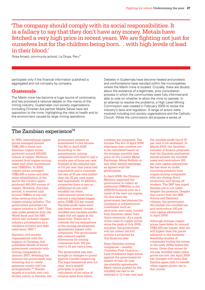'The company should comply with its social responsibilities. It is a fallacy to say that they don't have any money. Metals have fetched a very high price in recent years. We are fighting not just for ourselves but for the children being born… with high levels of lead in their blood.'

Rosa Amaro, community activist, La Oroya, Peru<sup>77</sup>

participate only if the financial information published is aggregated and not company by company.

#### **Guatemala**

The Marlin mine has become a huge source of controversy and has provoked a national debate on the merits of the mining industry. Guatemalan civil society organisations (including Christian Aid partner Madre Selva) have led opposition to the mine, highlighting the risks to health and to the environment caused by large mining operations.

Debates in Guatemala have become heated and protests and confrontations have resulted within the municipalities where the Marlin mine is located. Crucially, there are doubts about the existence of a legitimate, prior consultation process in which the communities were fully informed and able to vote on whether to allow the mine to operate. In an attempt to resolve the problems, a High Level Mining Commission was created in February 2005 to revise the industry's laws and regulation. A range of actors were involved including civil society organisations and the Catholic Church. While the commission did propose a series of

### The Zambian experience<sup>78</sup>

In 1992, international copper prices averaged around US\$2,280 a tonne and Zambian copper mines produced around 400,000 tonnes of copper. Revenue received from copper-mining taxes and other remittances was US\$200m. In 2004, copper prices averaged US\$2,868 a tonne and after some rehabilitation of the sector the country again produced 400,000 tonnes of copper. However, this time around, it received only around US\$8m in tax and other revenue from the copper-mining industry. The government privatised its copper industry in 1997. This was under pressure from the World Bank and the IMF, which had included copperindustry privatisation as a condition of loans and debt relief since 1993.79

Zambian civil society organisations with the support of Christian Aid published details of secret government contracts with mining companies in January 2007, detailing the revenue the government was receiving due to overly generous royalty and tax arrangements.80 Thanks largely to a public and civil society outcry in Zambia, the government passed an amendment to the Income Tax Bill in April 2008. According to the amendments, mining companies will need to pay a royalty rate of three per cent (instead of the reduced rate of 0.6 per cent that many had negotiated) and a corporate tax rate of 30 per cent (rather than the 25 per cent many had negotiated). In addition, companies have to pay an additional 25 per cent windfall tax when international prices move beyond a stipulated trigger price (US\$5,512 per tonne). Variable-profit taxes have also been created, though windfall and variable-profits taxes will not apply at the same time. These are to override the tax exemptions in the mining-development agreements signed with companies. The government also reduced capital allowances for mining companies from 100 per cent to 25 per cent a year.

The government has also brought in changes to guard against transfer mispricing. The legal framework sets out clear 'arm's-length' principles to guide calculation of the value of mineral sales from which

royalties are computed. The Income Tax Act of April 2008 stipulates that royalties are to be calculated based on the average monthly case price on the London Metal Exchange, Metal Bulletin or any other metals exchange as agreed with the government.

In April 2008, the Finance Ministry expected the government to collect an additional US\$415m in the 2008/09 financial year as a result of the new tax regime. On this basis the government had planned for increases in infrastructure investment such as electricity and roads, funded from Zambian rather than donor resources. As a result of the crash in copper prices since the peak of July 2008, however, the government will not collect the full income it projected for this financial year.

Some Zambian mining companies – notably Canadian First Quantum – have threatened legal action against the government for breach of their 25-year tax-stability agreements. Many others pushed for the windfall tax rate to be reduced to 12.5 per cent and

the variable-profit tax of 15 per cent to be abolished. In March 2009, the Zambian minister of finance proposed that the Zambian parliament should abolish the windfall taxes and reintroduce 100 per cent capital allowances. He has done so under mounting pressure from copper-mining companies who are closing down production and laying off workers. The IMF has urged Zambia not to cut taxes, despite the pressure. Despite this outcry from the IMF, donors and Zambian citizens, the government did abolish the windfall tax and reintroduce 100 per cent capital allowances in April 2009.

Although average copper prices have fallen (to around US\$3,000 per tonne), they are still higher than the prices assumed in the businessfeasibility studies of companies buying the mines in the early 2000s before the boom. Given that mines do not pay windfall taxes when prices are low, the April 2009 tax changes will mean that Zambia again fails to benefit when copper prices rise in due course.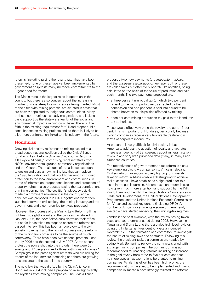reforms (including raising the royalty rate) that have been presented, none of these have yet been implemented by government despite its many rhetorical commitments to the urgent need for reform.

The Marlin mine is the largest mine in operation in the country, but there is also concern about the increasing number of mineral-exploration licences being granted. Most of the sites with mining potential are situated in areas that are heavily populated by indigenous communities. Many of these communities – already marginalised and lacking basic support by the state – are fearful of the social and environmental impacts mining could have. There is little faith in the existing requirement for full and proper public consultations on mining projects and so there is likely to be a lot more confrontation linked to this industry in the future.

#### **Honduras**

Growing civil society resistance to mining has led to a broad-based national coalition called the Civic Alliance for Mining Law Reform (Alianza Cívica por la Reforma a la Ley de Minería),<sup>81</sup> comprising representatives from NGOs, environmental groups, community organisations and the Church. The main goal of the alliance has been to design and pass a new mining law that can replace the 1998 legislation and that would offer much improved protection to the local environment and communities, in terms of information, proper consultations and protection of property rights. It also proposes raising the tax contributions of mining companies. The coalition's advocacy quickly made it a prominent movement in the country and a new law was proposed in 2004. Negotiations were then launched between civil society, the mining industry and the government, and a compromise text was proposed.

However, the progress of the Mining Law Reform Bill has not been straightforward and the process has stalled. In January 2006, the new Zelaya administration took office but so far it has taken no steps to ensure the reforms are passed into law. This has been a huge blow to the civil society movement and the lack of progress on the reform of the mining law continues to be the source of much controversy. There have been two national protests – one in July 2006 and the second in July 2007. At the second protest the police shot into the crowds, there were 50 arrests and 17 people injured – three with gunshot injuries. $82$ Campaigns in the press against activists who are calling for reform of the industry are increasing and there are growing tensions around the issue in the country.

The new law that was drafted by the Civic Alliance in Honduras in 2004 included a proposal to raise significantly the royalties from mining companies. The Civic Alliance

proposed two new payments (the *impuesto municipal* and the *impuesto a la producción minera*). Both of these are called taxes but effectively operate like royalties, being calculated on the basis of the value of production and paid each month. The two payments proposed are:

- a three per cent municipal tax (of which two per cent is paid to the municipality directly affected by the concession and one per cent is paid into a fund to be shared between municipalities affected by mining)
- a ten per cent mining production tax paid to the Honduran tax authorities.

These would effectively bring the royalty rate up to 13 per cent. This is important for Honduras, particularly because mining companies receive very favourable treatment in terms of corporate income tax.

At present it is very difficult for civil society in Latin America to address the question of royalty and tax rates. There is a huge lack of transparency about mineral taxation revenue and very little published data (if any) in many Latin American countries.

The receptiveness of governments to tax reform is also a key stumbling block. A comparison to Africa is relevant. Civil society organisations actively fighting for mineraltaxation reform in Africa – while still struggling to achieve real successes – have established a high profile for this issue in the public domain. Mineral-taxation reform is also now given much more attention (and support) by the IMF, World Bank and the UN (the United Nations Conference on Trade and Development, the United Nations Development Programme, and the United Nations Economic Commission for Africa) and several key donors (including DFID). A number of African governments – some of them newly elected – have started reviewing their mining-tax regimes.

Zambia is the best example, with the review having taken place and tax reforms enacted during 2008. However, in Tanzania and Sierra Leone there are also high-level reviews going on. In Tanzania, President Kikwete announced in November 2007 the formation of a committee to investigate the nature of mining laws and contracts. Following this review the president tasked a commission, headed by Judge Mark Bomani, to review the contracts signed with six large mining companies. The Bomani Commission recommended far-reaching reforms including an increase in the gold royalty from three to five per cent and that no more special tax exemptions be granted to mining companies. While this effort has been high profile, the recommendations have yet to be implemented and mining companies in Tanzania have strongly resisted the reforms.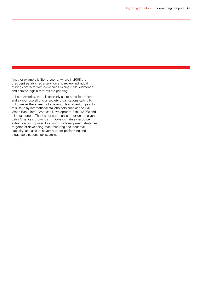Another example is Sierra Leone, where in 2008 the president established a task force to review individual mining contracts with companies mining rutile, diamonds and bauxite. Again reforms are pending.

In Latin America, there is certainly a dire need for reform and a groundswell of civil society organisations calling for it. However there seems to be much less attention paid to this issue by international stakeholders such as the IMF, World Bank, Inter-American Development Bank (IADB) and bilateral donors. This lack of attention is unfortunate, given Latin America's growing shift towards natural-resource extraction (as opposed to economic-development strategies targeted at developing manufacturing and industrial capacity) and also its severely under-performing and inequitable national tax systems.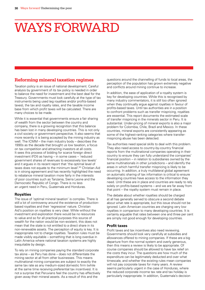# ways forward

#### **Reforming mineral taxation regimes**

Taxation policy is an issue of national development. Careful analysis by government of its tax policy is needed in order to balance the need for investment and the best deal for the Treasury. Governments must look carefully at the type of tax instruments being used (eg royalties and/or profits-based taxes), the tax and royalty rates, and the taxable income base from which profit taxes will be calculated. There are many choices to be made.

While it is essential that governments ensure a fair sharing of wealth from the sector between the country and company, there is a growing recognition that this balance has been lost in many developing countries. This is not only a civil society or government perspective. It also seems that more recently it is being accepted by the mining industry as well. The ICMM – the main industry body – describes the 1990s as the decade that brought us low taxation, a focus on tax competition and attracting investors at all costs. It sees this process of bidding for scarce foreign direct investment (FDI) as having – in some cases – 'reduced government shares of revenues to excessively low levels' and it argues in its recent report that 'the optimal level of taxes does not equate to the minimum level'.<sup>83</sup> Christian Aid is in strong agreement and has recently highlighted the need to rebalance mineral taxation more fairly in the interests of poor countries such as Tanzania, Sierra Leone and the Democratic Republic of Congo. There is no less an urgent need in Peru, Guatemala and Honduras.

#### **Royalties**

The issue of 'optimal mineral taxation' is complex. There is still a lot of controversy around the existence of productionbased royalties and their 'regressive' nature. Christian Aid's position on royalties is very clear. While without the investment and exploration there would be no resources to value and so for all practical purposes this source of wealth for the nation would be non-existent, this does not mean that the state is not entitled to a direct share in its non-renewable assets. The perception of equity is key. It is inappropriate not to charge royalties. Taxation rules must be made visibly equitable – something that is long overdue in Latin America where national taxation systems are highly inequitable by design.

To rely on mining companies paying the standard corporate tax alone – as Peru has done – does not differentiate the mining sector at all from other businesses. This means multinational mining companies are subject to exactly the same tax rate as any medium-sized domestic firm (while at the same time receiving preferential tax incentives). It is not a surprise that Peruvians feel the country has effectively given away their mineral assets. As a result of this and the

questions around the channelling of funds to local areas, the perception of the population has grown extremely negative and conflicts around mining continue to increase.

In addition, the ease of application of a royalty system is key for developing countries. While this is recognised by many industry commentators, it is still too often ignored when they continually argue against royalties in favour of profits-based taxes. Until tax authorities are in a position to confront problems such as transfer mispricing, royalties are essential. This report documents the estimated scale of transfer mispricing in the minerals sector in Peru. It is substantial. Under-pricing of mineral exports is also a major problem for Colombia, Chile, Brazil and Mexico. In these countries, mineral exports are consistently appearing as some of the highest-ranking categories where transfermispricing abuse has been detected.

Tax authorities need special skills to deal with this problem. They also need access to country-by-country financial reports from the multinational companies operating in their country to ensure they can fully understand the companies' financial position – in relation to subsidiaries owned by the same multinationals in other jurisdictions – and identify the areas in which harmful transfer mispricing is likely to be occurring. In addition, a truly multilateral global agreement on automatic sharing of tax information is critical to ensure developing countries have access to the information they need. Until these are in place and countries are ready to rely solely on profits-based systems – and we are far away from that point – the royalty system must remain in place.

The debate about whether royalties should be charged at all has generally served to obscure a second debate about what rate is appropriate, but this issue should not be ignored. Latin American countries are charging very low royalties in comparison to many developing countries. It is certainly arguable that rates between one and three per cent are simply not good enough for developing countries.

#### **Profit taxes**

Profit taxes and tax incentives also need reviewing. Governments should look very carefully at subsidies and allowances offered to mining companies. If these are a big departure from the normal system and overly generous, then this means a review is likely to be appropriate. Of course companies should be allowed to have tax relief on the costs they incur. The questions are how much of the expenditure can be legitimately deducted and over what timescale, and whether the existing rules mean companies will not pay corporate taxes for many years. A review seems particularly urgent in the case of Honduras, where the reduced corporate income tax rate and tax holiday is particularly inappropriate. In addition, Guatemala's decision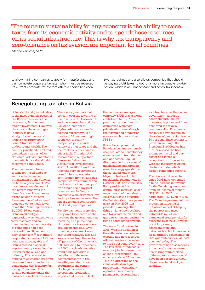'The route to sustainability for any economy is the ability to raise taxes from its economic activity and to spend those resources on its social infrastructure. This is why tax transparency and zero-tolerance on tax evasion are important for all countries.'

Stephen Timms, MP84

to allow mining companies to apply for *maquila* status and gain complete corporate tax exemption must be reversed. Its current corporate tax system offers a choice between

two tax regimes and also allows companies that should be paying profit taxes to opt for a more favourable low-tax option, which is an unnecessary and costly tax incentive.

### Renegotiating tax rates in Bolivia

Bolivia's oil and gas industry is the most dynamic sector of the Bolivian economy and receives by far the most foreign investment. However, the story of the oil and gas industry is not a straightforward one and Bolivia has struggled to benefit from its vast underground wealth. The country privatised its oil and gas industry as part of its structural-adjustment reforms, upon which its aid and debt relief were conditioned.

The royalties and taxes regime for the oil and gas sector was revised on privatisation by the Sanchez de Lozada government. The most important element of the new regime was the classification of reserves as either 'existing' or 'new'. Reserves classified as 'new' were subject to much lower taxes than 'existing' reserves. By 2002, 97 per cent of Bolivian oil and gas exploration was deemed to be 'new reserves' and so royalties for the vast majority of companies had been lowered from 50 per cent to only 18 per cent.<sup>85</sup> A standard corporate income tax of 25 per cent was also payable and Bolivia created a special supplementary tax called the Surtax for the oil and gas industry. This was to be applied to extraordinary profit levels and was intended to compensate the Treasury for losing 32 per cent of its royalty payments under the classification of new reserves.

There was great national concern over the lowering of the royalty rate. However oil and gas companies and the Bolivian Chamber of Hydrocarbons continually pointed out that while a royalty of 18 per cent might seem low, in reality companies paid a wide variety of other taxes and that the total tax burden was in effect high. Christian Aid research with our partner Centre for Labour and Agricultural Development (CEDLA) in 2006 found that this was very clearly not the case.86 The corporate-tax contribution from oil and gas companies was minimal and the Surtax had not been paid by a single company post privatisation. In fact, tax payments were extremely low and royalties represented the major economic contribution of oil and gas companies.

Royalty payments were also a key area for concern as the royalties the government was receiving as a percentage of the sector's turnover were actually decreasing. Over time the government was capturing relatively less and less revenue from the sector (37 per cent of the turnover in 1999 reducing to 27 per cent in 2004) – a clearly negative trend. This reduction in benefits, and the everdecreasing share in the wealth generated, was occurring in the context of a huge increase in investment, production, exports and prices. In fact,

the national oil and gas company YPFB was a bigger contributor to the Treasury pre-privatisation than the companies were postprivatisation, even though their combined production was so much greater than YPFB's.

It is not a surprise that Bolivians became extremely sceptical of the benefits they were receiving from their oil and gas sector. Popular discontent led to a series of mobilisations and protests over the energy question – the so-called 'gas wars'. Major protests led to two presidential resignations in October 2003 and June 2005. Both presidents had continued to resist calls for a major reform of the industry. As a result of the pressure, the Bolivian Congress passed a law in May 2005 that provided – among other things – for a new royalties and tax structure on oil and gas extraction, increasing the state's share of the revenue.

The main fiscal reform, in 2005, was the abolition of the differentiation between existing and new reserves. All reserves became subject to the 18 per cent royalty rate. The law then introduced a new tax (the impuesto directo en los hidrocarburos – IDH), which stands at 32 per cent. This is a direct tax on the value of all oil and gas production. It essentially operates like a royalty payment but is formulated

as a tax, because the Bolivian government, under its contracts with foreign investors, is prevented from changing the royalty payments due. This means the initial payment due on the value of production is now 50 per cent. Since coming to power in January 2006, President Evo Morales has further revised the fiscal regime for the oil and gas sector and forced a renegotiation of contracts with the industry, revising the terms under which foreign companies operate.

The reforms to the sector since 2005 have generated a huge increase in revenue for the Bolivian government (from an income of around US\$173m in 2002 to an estimated US\$1.57bn in 2007). The Morales government has brought in three major initiatives aimed at helping the poorest and most vulnerable in Bolivia – a universal state pension for everyone over 60, a universal grant for primary schoolchildren, and nationwide school breakfasts for all primary schoolchildren that guarantees them at least one meal a day. The government has also recently announced a new maternal health programme. None of these programmes would have been possible without the reforms to oil and gas taxation.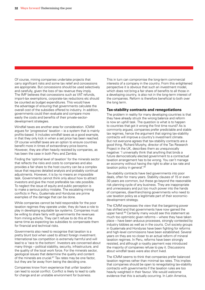Of course, mining companies undertake projects that carry significant risks and some tax relief and concessions are appropriate. But concessions should be used selectively and carefully, given the loss of tax revenue they imply. The IMF believes that concessions such as VAT refunds, import-tax exemptions, corporate-tax reductions etc should be counted as budget expenditures. This would have the advantage of ensuring that governments calculate the overall cost of the subsidies offered to industry. In addition, governments could then evaluate and compare more easily the costs and benefits of their private-sectordevelopment strategies.

Windfall taxes are another area for consideration. ICMM argues for 'progressive' taxation – ie a system that is mainly profits-based. It includes windfall taxes as a good example, in that they only kick in when a set price has been reached. Of course windfall taxes are an option to ensure countries benefit more in times of extraordinary price booms. However, they are often heavily resisted by companies, as has been the case in both Peru and Zambia.

Finding the 'optimal level of taxation' for the minerals sector that reflects the risks and costs to companies and also provides a fair share to the host country can be a complex issue that requires detailed analysis and probably continual adjustments. However, it is by no means an impossible task. Governments cannot think only about how to attract investors and give the most preferable tax rate possible. To neglect the issue of equity and public perception is to make a serious policy mistake. The escalating mining conflicts in Peru, Guatemala and Honduras are prime examples of the damage that can be done.

While companies cannot be held responsible for the poor taxation regimes they operate under, they do have a role to play in developing equitable tax systems. Companies must be willing to share fairly with governments the revenues from mining activity. They can't refuse to do this at the same time as expecting tax subsidies to compensate them for financial and technical risks.

Governments also need to recognise that taxation is a pretty blunt tool when used to attract foreign investment. International tax competition is extremely harmful and will lead to a 'race to the bottom'. Investors are concerned about many things – political stability, security, infrastructure, and the quality of the local work force. For the minerals sector, geological issues that determine the quality and content of the minerals are crucial.<sup>87</sup> Tax rates may be one factor, but they are far away from being the deciding one.

Companies know from experience that unfair taxation can lead to social conflict. Conflict is likely to lead to calls for change and an unstable environment for business.

This in turn can compromise the long-term commercial interests of a company in the country. From this enlightened perspective it is obvious that such an investment model, which does not bring a fair share of benefits to all those in a developing country, is also not in the long-term interest of the companies. Reform is therefore beneficial to both over the long term.

#### **Tax-stability contracts and renegotiations**

The problem in reality for many developing countries is that they have already struck the wrong balance and reform is now an uphill task. The question is what is to happen to countries that got it wrong the first time round? As is commonly argued, companies prefer predictable and stable tax regimes, hence the argument that signing tax-stability contracts will improve a country's investment climate. But not everyone agrees that tax-stability contracts are a good thing. Richard Murphy, director of the Tax Research Project in the UK, describes them as unequivocally negative: 'I universally think that anything that binds a future democratically elected government to a contractual taxation arrangement has to be wrong. You can't manage an economy without having the right to alter a tax rate and taxation policy in general'.<sup>88</sup>

Tax-stability contracts have tied governments into poor deals, often for many years. Stability clauses of 15 or even 30 years are common, but these go beyond the reasonable risk planning cycle of any business. They are inappropriate and unnecessary and put too much power into the hands of companies, disenfranchising governments who need to use taxation policy as a legitimate part of their economicdevelopment strategy.

The ICMM expresses the view that the bargaining power has shifted and that governments have now gained the upper hand.<sup>89</sup> Certainly many would see this statement as much too optimistic given reforms – where they have taken place – have been arduous processes, strongly contested by industry lobbies as well as in the courts. Civil society groups in Guatemala and Honduras have been fighting for reforms and high-level commissions have been established. Several years on they are no closer to an actual reform of mineral taxation regimes. In Peru, reforms have been strongly resisted, and although a royalty payment was introduced the majority of companies refuse to pay it. Discussions about windfall taxes were also short lived.

The ICMM seems to think that companies prefer balanced taxation regimes rather than minimal tax rates. This implies that companies should be open to renegotiating tax-stability contracts with governments if the taxation rules are too heavily weighted in their favour. We would welcome evidence that this is actually occurring. In Latin America,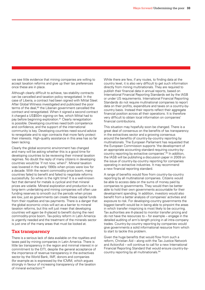we see little evidence that mining companies are willing to accept taxation reforms and give up their tax preferences once these are in place.

Although clearly difficult to achieve, tax-stability contracts can be cancelled and taxation policy renegotiated. In the case of Liberia, a contract had been signed with Mittal Steel. After Global Witness investigated and publicised the poor terms of the deal,<sup>90</sup> the Liberian government cancelled the contract and renegotiated. When it signed a second contract it charged a US\$50m signing-on fee, which Mittal had to pay before beginning exploration.<sup>91</sup> Clearly renegotiation is possible. Developing countries need both competence and confidence, and the support of the international community is key. Developing countries need sound advice to renegotiate and to sign contracts that more fairly protect their interests. High-quality assistance in this area has so far been lacking.

Clearly the global economic environment has changed and many will be asking whether this is a good time for developing countries to be reviewing their mineral taxation regimes. No doubt the reply of many citizens in developing countries would be 'if not now, when?'. Mineral taxation was lowered in the early 1990s when prices were low for a decade. With the recent commodity-price boom, many countries failed to benefit and failed to negotiate reforms successfully. So when is the right time? It is a well-known fact that demand for metals is cyclical and that mineral prices are volatile. Mineral exploration and production is a long-term undertaking and mining companies will often use funding reserves to smooth out the periods when prices are low, just as governments can create these capital funds from their royalties and tax payments. There is a danger that the global economic crisis will act as a barrier to mineral taxation reforms, but this will just mean that developing countries will again be ill-placed to benefit during the next commodity-price boom. Tax-policy reform in Latin America is urgently needed and the treatment of the minerals sector is just one of the many areas that must be looked at.

#### **Tax transparency**

There is a serious lack of data available on the royalties and taxes paid by mining companies in Latin America. There is little tax transparency in the region and minimal interest in or commitment to the EITI, despite the general acceptance of the importance of revenue transparency in the extractives sector by the World Bank, IMF, donors and companies (for example as is expressed by the ICMM, which argues strongly in favour of increasing transparency of the taxation of mineral extraction).92

While there are few, if any routes, to finding data at the country level, it is also very difficult to get such information directly from mining multinationals. They are required to publish their financial data in annual reports, based on International Financial Reporting Standards set by the IASB or under US requirements. International Financial Reporting Standards do not require multinational companies to report data on their profits, expenditure and taxes on a country-bycountry basis. Instead their reports reflect their aggregate financial position across all their operations. It is therefore very difficult to obtain local information on companies' financial contributions.

This situation may hopefully soon be changed. There is a great deal of consensus on the benefits of tax transparency in the extractives sector and a growing consensus around the benefits of country-by-country reporting by multinationals. The European Parliament has requested that the European Commission supports 'the development of an appropriate accounting standard requiring country-bycountry reporting by extractive companies'.93 In addition, the IASB will be publishing a discussion paper in 2009 on the issue of country-by-country reporting for companies operating in extractive industries. It may recommend a new financial reporting standard.

A range of benefits would flow from country-by-country reporting by all multinational companies. Citizens would be able to access data on the sums of money paid by companies to governments. They would then be better able to hold their own governments accountable for their development spending. In addition, investors would also benefit from a better analysis of companies' activities and exposure to risk. For developing-country governments the biggest benefit would be in being able to pinpoint the areas in which transfer mispricing is most likely to be occurring. Tax authorities are ill-placed to monitor transfer pricing and do not have the resources to  $-$  for example  $-$  engage in the detailed auditing of arm's-length pricing in all intra-company trades. Country-by-country reporting by companies would give governments a solid informational resource from which to start to tackle this problem.

Given the huge benefits that would flow from such a reform, Christian Aid – along with the Tax Justice Network and ActionAid – will continue to call for a new International Financial Reporting Standard that would ensure country-bycountry reporting by all multinationals.94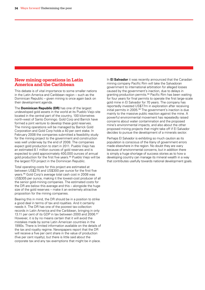#### **New mining operations in Latin America and the Caribbean**

This debate is of vital importance to some smaller nations in the Latin America and Caribbean region – such as the Dominican Republic – given mining is once again back on their development agenda.

The **Dominican Republic (DR)** has one of the largest undeveloped gold assets in the world at its Pueblo Viejo site located in the central part of the country, 100 kilometres north-west of Santo Domingo. Gold Corp and Barrick have formed a joint venture to develop these gold reserves. The mining operations will be managed by Barrick Gold Corporation and Gold Corp holds a 40 per cent stake. In February 2008 the companies submitted a feasibility study for the mining project to the government and construction was well underway by the end of 2008. The companies expect gold production to start in 2011. Pueblo Viejo has an estimated 8.1 million ounces of gold reserves and is expected to yield approximately 400,000 ounces of annual gold production for the first five years.95 Pueblo Viejo will be the largest FDI project in the Dominican Republic.

Total operating costs for this project are estimated at between US\$275 and US\$300 per ounce for the first five years.96 Gold Corp's average total cash cost in 2008 was US\$305 per ounce, making it the lowest-cost producer of all the senior gold-mining companies. The estimated costs for the DR are below this average and this – alongside the huge size of the gold reserves – make it an extremely attractive proposition for the mining companies.

Bearing this in mind, the DR should be in a position to strike a good deal in terms of tax and royalties. And it certainly needs it. The DR has one of the poorest tax-collection records in Latin America and the Caribbean, bringing in only 13.11 per cent of its GDP in tax between 2000 and 2006.<sup>97</sup> However, it is by no means certain that it will avoid the mistakes made by some Latin American countries in the 1990s. There is limited information available on the details of the tax and royalty regime. Newspapers report that the DR will receive a five per cent share in the value of production (five per cent royalty), but there is little said about the corporate tax and any tax exemptions that might be in place.

In **El Salvador** it was recently announced that the Canadian mining company Pacific Rim will take the Salvadoran government to international arbitration for alleged losses caused by the government's inaction, due to delays in granting production permits.<sup>98</sup> Pacific Rim has been waiting for four years for final permits to operate the first large-scale gold mine in El Salvador for 70 years. The company has reportedly invested US\$77m in exploration after receiving initial permits in 2005.<sup>99</sup> The government's inaction is due mainly to the massive public reaction against the mine. A powerful environmental movement has repeatedly raised concerns about water contamination and the proposed mine's environmental impacts, and also about the other proposed mining projects that might take off if El Salvador decides to pursue the development of a minerals sector.

Perhaps El Salvador is exhibiting so much caution as its population is conscious of the litany of government errors made elsewhere in the region. No doubt they are wary because of environmental concerns, but in addition there is simply a huge shortage of success stories as to how a developing country can manage its mineral wealth in a way that contributes usefully towards national development goals.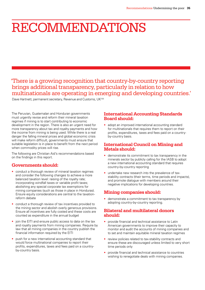# **RECOMMENDATIONS**

'There is a growing recognition that country-by-country reporting brings additional transparency, particularly in relation to how multinationals are operating in emerging and developing countries.'

Dave Hartnett, permanent secretary, Revenue and Customs, UK<sup>100</sup>

The Peruvian, Guatemalan and Honduran governments must urgently revise and reform their mineral taxation regimes if mining is to start contributing to economic development in the region. There is also an urgent need for more transparency about tax and royalty payments and how the income from mining is being used. While there is a real danger the falling mineral prices and global economic crisis will make reform difficult, governments must ensure that suitable legislation is in place to benefit from the next period when commodity prices will rise.

The following are Christian Aid's recommendations based on the findings in this report.

#### **Governments should:**

- conduct a thorough review of mineral taxation regimes and consider the following changes to achieve a more balanced taxation level: raising of the royalty rate; incorporating windfall taxes or variable profit taxes; abolishing any special corporate tax exemptions for mining companies (such as those in place in Honduras). Ensure equity considerations are central to the taxationreform debate
- conduct a thorough review of tax incentives provided to the mining sector and abolish overly generous provisions. Ensure all incentives are fully costed and these costs are counted as expenditure in the annual budget
- join the EITI and ensure public access to data on the tax and royalty payments from mining companies. Require by law that all mining companies in the country publish the financial information required by the EITI
- push for a new international accounting standard that would force multinational companies to report their profits, expenditures, taxes and fees paid on a countryby-country basis.

#### **International Accounting Standards Board should:**

• adopt an improved international accounting standard for multinationals that requires them to report on their profits, expenditures, taxes and fees paid on a countryby-country basis.

#### **International Council on Mining and Metals should:**

- demonstrate its commitment to tax transparency in the minerals sector by publicly calling for the IASB to adopt a new international accounting standard that requires country-by-country reporting
- undertake new research into the prevalence of taxstability contracts (their terms, time periods and impacts), and promote dialogue with members around their negative implications for developing countries.

#### **Mining companies should:**

• demonstrate a commitment to tax transparency by adopting country-by-country reporting.

#### **Bilateral and multilateral donors should:**

- provide financial and technical assistance to Latin American governments to improve their capacity to monitor and audit the accounts of mining companies and to set and maintain equitable mineral taxation regimes
- review policies related to tax-stability contracts and ensure these are discouraged unless limited to very short time periods only
- provide financial and technical assistance to countries wishing to renegotiate deals with mining companies.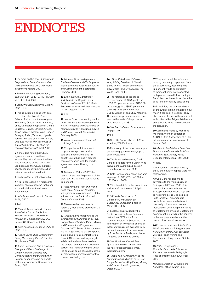## ENDNOTES

**1** For more on this see *Transnational Corporations, Extractive Industries and Development*, UNCTAD World Investment Report, 2007.

**2** See www.oecd.org/document/ 35/0,3343,en\_2649\_37413\_417650 91\_1\_1\_1\_1,00.html

**3** *Latin American Economic Outlook 2009*, OECD.

**4** This calculation is done with data on the tax collection of 17 sub-Saharan African countries – Angola, Botswana, Central African Republic, Chad, Democratic Republic of Congo, Equatorial Guinea, Ethiopia, Ghana, Kenya, Malawi, Mozambique, Nigeria, Senegal, Sudan, Tanzania, Uganda, Zambia. For data see John Marshall, *One Size Fits All: IMF Tax Policy in sub-Saharan Africa*, Christian Aid occasional paper no.2, April 2009.

**5** It should be noted that OECD figures are higher than those reported by national tax authorities. This is because of the definitions used because the OECD includes social security contributions when national tax authorities don't.

**6** See http://portal.sat.gob.gt/sitio/

**7** A tax is regressive if it represents a smaller share of income for higherincome individuals than lowerincome ones.

**8** *Latin American Economic Outlook 2009*, OECD.

#### **9** Ibid.

**10** Manuel Agosin, Alberto Barreix, Juan Carlos Gomez Sabiani and Roberto Machado, *Tax Reform for Human Development*, ECLAC Review 87, December 2005.

**11** *Latin American Economic Outlook 2009*, OECD.

**12** *A Rich Seam: Who Benefits from Rising Commodity Prices?*, Christian Aid, January 2007.

**13** Aaron Schneider, *Socio-economic Change and Fiscal Challenges in Central America: Globalization, Democratization and the Politics of Reform*, paper prepared on behalf of the Inter-American Development Bank, 2007.

**14** *Minerals Taxation Regimes: a Review of Issues and Challenges in their Design and Application*, ICMM and Commonwealth Secretariat, February 2009.

**15** *Las Industrias Extractivas y la Aplicación de Regalías a los Productos Mineros*, ECLAC, Serie Recursos Naturales e Infraestructura no. 98, October 2005.

#### **16** Ibid.

**17** James Otto, commenting on the report *Minerals Taxation Regimes: A Review of Issues and Challenges in their Design and Application*, ICMM and Commonwealth Secretariat, February 2009.

**18** www.antamina.com/noticias/ noticias\_46.html

**19** Companies with investment programmes approved at that date could continue to use this benefit until 2003. But in practice some companies with tax-stability agreements are still using this benefit.

**20** Between 1994 and 2002 the *canon minero* was 20 per cent of the profit tax. In 2003 this was raised to 50 per cent.

**21** *Assessment of IMF and World Bank Group Extractive Industries Transparency Implementation,* Global Witness and the Bank Information Centre, October 2008.

**22** These are the 'contratos de garantía y medidas de promoción a la inversión'.

**23** *Tributación y Distribución de las Sobreganancias Mineras en el Perú*, CooperAcción Working Paper, Mining and Communities Programme, October 2007. Some of the contracts are no longer valid as the time period is up (eg Doe Run's contract for La Oroya). Others are no longer legally valid as mines have been sold and the buyers have not undertaken the correct legal transfer of rights under the contract; some have not met the investment requirements under the contract rendering it void.

**24** J Otto, C Andrews, F Cawood et al, *Mining Royalties: A Global Study of their Impact on Investors, Government and Civil Society*, The World Bank, 2006.

**25** The reference prices are as follows: copper US\$179 per lb; tin US\$9,231 per tonne; iron US\$33.56 per tonne; gold US\$537 per ounce; silver US\$7.69 per ounce; lead US\$46.72 per lb; zinc US\$77.9 per lb. The reference prices are revised each year on the basis of the producer price index of the US.

**26** See Peru's Central Bank at www. bcrp.gob.pe

**27** Ibid.

**28** See http://news.bbc.co.uk/2/hi/ americas/7057749.stm

**29** For a copy of the report see http:// shr.aaas.org/guatemala/ceh/report/ spanish/toc.html

**30** This is worked out using Gold Corp's sales data for the Marlin mine in 2008 and Guatemala's data on mineral export value in 2008.

**31** Gold Corp's annual report declares earnings of US\$1,475m in 2008 and US\$286m in 2005.

**32** 'Que hay detrás de las exenciones a Montana?', *Inforpress*, 28 April 2006.

**33** S Diaz de Serralde and C Garcimartín, *Tributación en Guatemala: Imposición Sobre la Renta*, IDB, 2007.

**34** Explanation provided by the Central American Fiscal Research Institution (ICEFI) – the fiscal research institute in Guatemala. The information on Montana's choice of income tax regime is available from declarations made in an interview by Rosa María de Frade, member of Congress on Emisoras Unidas.

**35** See Honduran Central Bank figures at www.bch.hn and www. ine-hn.org/economicas/comex/ indexcomex.html

**36** *Tributación y Distribución de las Sobreganancias Mineras en el Perú*, CooperAcción Working Paper, Mining and Communities Programme, October 2007.

**37** They estimated the reference base by deducting 12 per cent from the export value, assuming that 12 per cent would be sufficient to represent costs not associated with production (which according to Peru's law can be excluded from the base figure for royalty calculation).

**38** In addition, the company has a board outside its mine that lists how much it has paid in royalties. They also issue a cheque to the municipal authorities in San Miguel Ixtahuacán every month, which is broadcast on the television.

**39** Comments made by Francisco Machado, the then director of ASONOG (the Association of NGOs in Honduras) in an interview on 19 March 2007.

**40** *Minería de Metales y Derechos Humanos en Guatemala: La Mina Marlin en San Marcos*, Peace Brigades International, May 2006.

**41** Ibid.

**42** Questions were submitted by the ICEFI; however replies were not forthcoming.

**43** Gold Corp has also made payments to the municipality of Sipicapa in 2007 and 2008. This was a voluntary contribution as Sipicapa does not receive royalties as no mining actually takes place in its territory. This amount is not included in our analysis as it is entirely voluntary and we are interested in evaluating the efficacy of Guatemala's laws and Guatemala's government in providing the country with an appropriate share in the wealth of its natural resources.

**44** For more detail see *Tributación y Distribución de las Sobreganancias Mineras en el Perú*, CooperAcción Working Paper, Mining and Communities Programme, October 2007.

**45** *2008 Presupuesto y Financiamiento de la Educación Peruana,* Instituto de Pedagogía Popular, Informe no. 66, October 2007.

**46** Communication with Help the Aged Peru office, March 2009.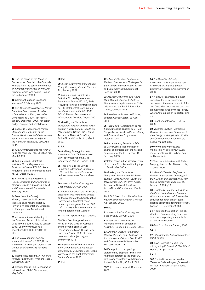**47** See the report of the Mesa de Concertación Para la Lucha Contra la Pobreza from the conference entitled *The Impact of the Crisis on Peruvian Children,* which was held in Lima on the 24 February 2009.

**48** Comment made in telephone interview 23 February 2007.

**49** See *Observatorio del Gasto Social: Derechos Economicos, Sociales y Culturales – un Reto para la Paz*, Congcoop and CIIDH, 4th report, January-December 2006, for health budget analysis and breakdowns.

**50** Leonardo Gasparini and Miriam Montenegro, *Evaluation of the Distributional Impact of the Honduran Tax Reform*, World Bank PSIA of the Honduran Tax Equity Law, April 2004.

**51** *False Profits: Robbing the Poor to Keep the Rich Tax-Free*, Christian Aid, March 2009

**52** *Las Industrias Extractivas y la Aplicación de Regalías a los Productos Mineros*, ECLAC, Serie Recursos Naturales e infraestructura no. 98, October 2005.

**53** *Minerals Taxation Regimes: a Review of Issues and Challenges in their Design and Application*, ICMM and Commonwealth Secretariat, February 2009.

**54** Data from the Consejo Minero, presented in 'El debate tributario en la minería chilena', PowerPoint presentation, Dirección de Presupuestos, Ministerio de Hacienda.

**55** Address at the 4th Meeting of the Forum on Tax Administration, Cape Town, South Africa, 10 January 2008. See www.info.gov.za/ speeches/2008/08011013151001. htm

**56** See www.aduanet.gob.pe/ aduanas/informae/bm2007\_12.htm and www.mincetur.gob.pe/newweb/ Default.aspx?tabid=793 for trade data.

**57** Thomas Baunsgaard, *A Primer on Mineral Taxation*, IMF Working Paper, WP/01/129, 2001.

**58** Rodrigo Pizarro, 'La Consagración del royalty en Chile', *Perspectivas*, May 2004.

#### **59** Ibid.

**60** *A Rich Seam: Who Benefits from Rising Commodity Prices?*, Christian Aid, January 2007.

**61** *Las Industrias Extractivas y la Aplicación de Regalías a los Productos Mineros*, ECLAC, Serie Recursos Naturales e infraestructura no. 98, October 2005 and *Mining in Latin America in the late 1990s*, ECLAC Natural Resources and Infrastructure Division, August 2001.

**62** *Breaking the Curse: How Transparent Taxation and Fair Taxes can turn Africa's Mineral Wealth into Development*, SARW, TWN Africa, Tax Justice Network for Africa, ActionAid and Christian Aid, March 2009.

#### **63** Ibid*.*

**64** *A Mining Strategy for Latin America and the Caribbean*, World Bank Technical Paper no. 345, Industry and Mining Division, 1996.

**65** These include the Ley de Fomento a la Inversión Extranjera (1991) and the Ley de Promoción de Inversiones en el Sector Minero (1991).

**66** *Unearth Justice: Counting the Cost of Gold*, CAFOD, 2006.

**67** Information about the IFC board's discussion was leaked and posted on the website of the Social Justice Committee (a Montreal-based human rights organisation) in 2007. Unfortunately this information is no longer posted on this website.

**68** See http://portal.sat.gob.gt/sitio/

**69** César Gamboa, president of Peruvian NGO DAR, in 'Camisea and the World Bank: A Lost Opportunity to Make Things Better,' Comment 1 April 2008 at www. brettonwoodsproject.org/art. shtml?x=561075

**70** *Assessment of IMF and World Bank Group Extractive Industries Transparency Implementation*, Global Witness and the Bank Information Centre, October 2008.

**71** Ibid.

**72** *Minerals Taxation Regimes: a Review of Issues and Challenges in their Design and Application*, ICMM and Commonwealth Secretariat, February 2009.

**73** *Assessment of IMF and World Bank Group Extractive Industries Transparency Implementation*, Global Witness and the Bank Information Centre, October 2008.

**74** Interview with José de Echave, director, CooperAcción, 29 April 2009.

**75** *Tributación y Distribución de las Sobreganancias Mineras en el Perú*, CooperAcción Working Paper, Mining and Communities Programme, October 2007.

**76** Letter sent by Peruvian NGOs to David Camac, vice minister of energy and president of the national comission for the EITI in Peru, 10 February 2009.

**77** Interviewed in La Oroya by Dylan Howitt on a Christian Aid filming trip to Peru in May 2009.

**78** *Breaking the Curse: How Transparent Taxation and Fair Taxes can turn Africa's Mineral Wealth into Development*, SARW, TWN Africa, Tax Justice Network for Africa, ActionAid and Christian Aid, March 2009.

**79** *A Rich Seam: Who Benefits from Rising Commodity Prices?*, Christian Aid, January 2007.

#### **80** Ibid.

**81** *Unearth Justice: Counting the Cost of Gold*, CAFOD, 2006.

**82** Interview with Francisco Machado, the then director of Asonog, London, 26 October 2007.

**83** *Minerals Taxation Regimes: a Review of Issues and Challenges in their Design and Application*, ICMM and Commonwealth Secretariat, February 2009, p23.

**84** Excerpt from the opening statement by Stephen Timms, MP, financial secretary to the Treasury, G20 policy roundtable with Christian Aid and ActionAid, 30 April 2009.

**85** YPFB monthly report, December 2002.

**86** *The Benefits of Foreign* 

*Investment: is Foreign Investment in Bolivia's Oil and Gas Sector Delivering?* Christian Aid, November 2006.

**87** In zinc, for example, the most important factor in investment decisions is the metal content of the ore. Australian deposits are the most promising followed by those in Peru, where Antamina is an important zinc mine.

**88** Telephone interview, 11 June 2009.

**89** *Minerals Taxation Regimes: a Review of Issues and Challenges in their Design and Application*, ICMM and Commonwealth Secretariat February 2009, p26.

**90** www.globalwitness.org/ media\_library\_detail.php/459/en/ mittal\_steels\_us900\_million\_deal in\_liberia\_is\_ine

**91** Telephone interview with Richard Murphy, director, Tax Research UK, 11 June 2009.

**92** *Minerals Taxation Regimes: a Review of Issues and Challenges in their Design and Application*, ICMM and Commonwealth Secretariat, February 2009, p13.

**93** *Country by Country Reporting in the Extractive Industries*, Revenue Watch Institute and IASB extractive activities research project team, briefing paper from roundtable event, London, 15 September 2008.

**94** In addition the coalition Publish What you Pay are calling for countryby-country reporting standards for extractives industries.

**95** Gold Corp Annual Report, 2008.

**96** Ibid.

**97** *Latin American Economic Outlook 2009*, OECD.

**98** Blake Schmidt, 'Pacific Rim mining suing El Salvador', *The Miami Herald*, 27 April 2009.

#### **99** Ibid.

**100** Quoted in Vanessa Houlder, 'Revenue fuels aid agency's row with big four', *Financial Times*, 2 June, 2009.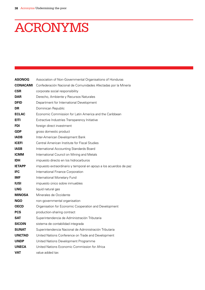# **ACRONYMS**

| <b>ASONOG</b>   | Association of Non-Governmental Organisations of Honduras         |  |  |
|-----------------|-------------------------------------------------------------------|--|--|
| <b>CONACAMI</b> | Confederación Nacional de Comunidades Afectadas por la Minería    |  |  |
| <b>CSR</b>      | corporate social responsibility                                   |  |  |
| <b>DAR</b>      | Derecho, Ambiente y Recursos Naturales                            |  |  |
| <b>DFID</b>     | Department for International Development                          |  |  |
| DR              | Dominican Republic                                                |  |  |
| <b>ECLAC</b>    | Economic Commission for Latin America and the Caribbean           |  |  |
| <b>EITI</b>     | Extractive Industries Transparency Initiative                     |  |  |
| FDI             | foreign direct investment                                         |  |  |
| GDP             | gross domestic product                                            |  |  |
| <b>IADB</b>     | Inter-American Development Bank                                   |  |  |
| <b>ICEFI</b>    | Central American Institute for Fiscal Studies                     |  |  |
| <b>IASB</b>     | International Accounting Standards Board                          |  |  |
| <b>ICMM</b>     | International Council on Mining and Metals                        |  |  |
| <b>IDH</b>      | impuesto directo en los hidrocarburos                             |  |  |
| <b>IETAPP</b>   | impuesto extraordinario y temporal en apoyo a los acuerdos de paz |  |  |
| IFC             | International Finance Corporation                                 |  |  |
| IMF             | International Monetary Fund                                       |  |  |
| IUSI            | impuesto único sobre inmuebles                                    |  |  |
| LNG             | liquid natural gas                                                |  |  |
| <b>MINOSA</b>   | Minerales de Occidente                                            |  |  |
| NGO             | non-governmental organisation                                     |  |  |
| <b>OECD</b>     | Organisation for Economic Cooperation and Development             |  |  |
| <b>PCS</b>      | production-sharing contract                                       |  |  |
| <b>SAT</b>      | Superintendencia de Administración Tributaria                     |  |  |
| <b>SICOIN</b>   | sistema de contabilidad integrada                                 |  |  |
| <b>SUNAT</b>    | Superintendencia Nacional de Administración Tributaria            |  |  |
| <b>UNCTAD</b>   | United Nations Conference on Trade and Development                |  |  |
| <b>UNDP</b>     | United Nations Development Programme                              |  |  |
| <b>UNECA</b>    | United Nations Economic Commission for Africa                     |  |  |
| <b>VAT</b>      | value added tax                                                   |  |  |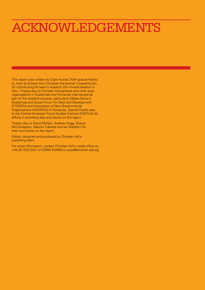## ACKNOWLEDGEMENTS

This report was written by Claire Kumar. With special thanks to José de Echave from Christian Aid partner CooperAcción for contributing his team's research into mineral taxation in Peru. Thanks also to Christian Aid partners and other local organisations in Guatemala and Honduras interviewed as part of the research process, particularly Madre Selva in Guatemala and Social Forum for Debt and Development (FOSDEH) and Association of Non-Governmental Organisations (ASONOG) in Honduras. Special thanks also to the Central American Fiscal Studies Institute (ICEFI) for its efforts in providing data and advice on the report.

Thanks also to David McNair, Andrew Hogg, Sharon McClenaghan, Maynor Cabrera and Ian Waldram for their comments on the report.

Edited, designed and produced by Christian Aid's publishing team.

For more information, contact Christian Aid's media office on +44 20 7523 2421 or 07850 242950 or press@christian-aid.org